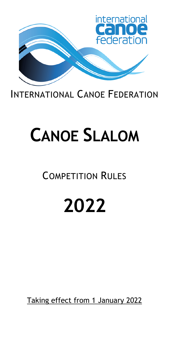

## INTERNATIONAL CANOE FEDERATION

# **CANOE SLALOM**

## COMPETITION RULES

# **2022**

Taking effect from 1 January 2022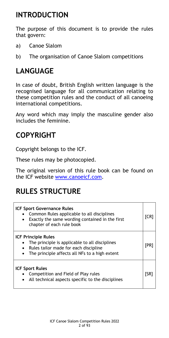## **INTRODUCTION**

The purpose of this document is to provide the rules that govern:

- a) Canoe Slalom
- b) The organisation of Canoe Slalom competitions

## **LANGUAGE**

In case of doubt, British English written language is the recognised language for all communication relating to these competition rules and the conduct of all canoeing international competitions.

Any word which may imply the masculine gender also includes the feminine.

## **COPYRIGHT**

Copyright belongs to the ICF.

These rules may be photocopied.

The original version of this rule book can be found on the ICF website [www.canoeicf.com.](http://www.canoeicf.com/)

## **RULES STRUCTURE**

| <b>ICF Sport Governance Rules</b><br>Common Rules applicable to all disciplines<br>Exactly the same wording contained in the first<br>chapter of each rule book         | [CR] |
|-------------------------------------------------------------------------------------------------------------------------------------------------------------------------|------|
| <b>ICF Principle Rules</b><br>The principle is applicable to all disciplines<br>Rules tailor made for each discipline<br>The principle affects all NFs to a high extent | [PR] |
| <b>ICF Sport Rules</b><br>Competition and Field of Play rules<br>All technical aspects specific to the disciplines                                                      | ISR. |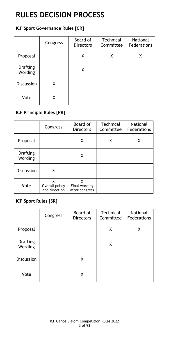## **RULES DECISION PROCESS**

#### **ICF Sport Governance Rules [CR]**

|                                   | Congress | Board of<br><b>Directors</b> | Technical<br>Committee | <b>National</b><br>Federations |
|-----------------------------------|----------|------------------------------|------------------------|--------------------------------|
| Proposal                          |          | Χ                            | Χ                      |                                |
| <b>Drafting</b><br><b>Wording</b> |          | X                            |                        |                                |
| <b>Discussion</b>                 | X        |                              |                        |                                |
| Vote                              | X        |                              |                        |                                |

#### **ICF Principle Rules [PR]**

|                            | Congress                             | Board of<br><b>Directors</b>         | Technical<br>Committee | National<br>Federations |
|----------------------------|--------------------------------------|--------------------------------------|------------------------|-------------------------|
| Proposal                   |                                      | X                                    | Χ                      | Χ                       |
| <b>Drafting</b><br>Wording |                                      | Χ                                    |                        |                         |
| <b>Discussion</b>          | X                                    |                                      |                        |                         |
| Vote                       | x<br>Overall policy<br>and direction | χ<br>Final wording<br>after congress |                        |                         |

#### **ICF Sport Rules [SR]**

|                            | Congress | Board of<br><b>Directors</b> | Technical<br>Committee | <b>National</b><br>Federations |
|----------------------------|----------|------------------------------|------------------------|--------------------------------|
| Proposal                   |          |                              | X                      | Χ                              |
| <b>Drafting</b><br>Wording |          |                              | Χ                      |                                |
| <b>Discussion</b>          |          | X                            |                        |                                |
| Vote                       |          | Χ                            |                        |                                |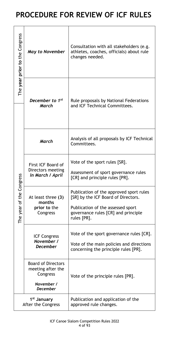## **PROCEDURE FOR REVIEW OF ICF RULES**

| The year prior to the Congress | <b>May to November</b>                                                                      | Consultation with all stakeholders (e.g.<br>athletes, coaches, officials) about rule<br>changes needed.                                                                   |
|--------------------------------|---------------------------------------------------------------------------------------------|---------------------------------------------------------------------------------------------------------------------------------------------------------------------------|
|                                | December to 1 <sup>st</sup><br><b>March</b>                                                 | Rule proposals by National Federations<br>and ICF Technical Committees.                                                                                                   |
|                                | <b>March</b>                                                                                | Analysis of all proposals by ICF Technical<br>Committees.                                                                                                                 |
| Congress                       | First ICF Board of<br>Directors meeting<br>in March / April                                 | Vote of the sport rules [SR].<br>Assessment of sport governance rules<br>[CR] and principle rules [PR].                                                                   |
| The year of the                | At least three (3)<br>months<br>prior to the<br>Congress                                    | Publication of the approved sport rules<br>[SR] by the ICF Board of Directors.<br>Publication of the assessed sport<br>governance rules [CR] and principle<br>rules [PR]. |
|                                | <b>ICF Congress</b><br>November /<br><b>December</b>                                        | Vote of the sport governance rules [CR].<br>Vote of the main policies and directions<br>concerning the principle rules [PR].                                              |
|                                | <b>Board of Directors</b><br>meeting after the<br>Congress<br>November /<br><b>December</b> | Vote of the principle rules [PR].                                                                                                                                         |
|                                | 1 <sup>st</sup> January<br>After the Congress                                               | Publication and application of the<br>approved rule changes.                                                                                                              |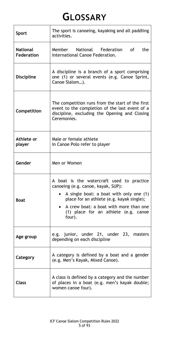## **GLOSSARY**

| <b>Sport</b>                         | The sport is canoeing, kayaking and all paddling<br>activities.                                                                                                                                                                                                     |
|--------------------------------------|---------------------------------------------------------------------------------------------------------------------------------------------------------------------------------------------------------------------------------------------------------------------|
| <b>National</b><br><b>Federation</b> | Member National Federation<br><b>of</b><br>the<br>International Canoe Federation.                                                                                                                                                                                   |
| <b>Discipline</b>                    | A discipline is a branch of a sport comprising<br>one (1) or several events (e.g. Canoe Sprint,<br>Canoe Slalom).                                                                                                                                                   |
| Competition                          | The competition runs from the start of the first<br>event to the completion of the last event of a<br>discipline, excluding the Opening and Closing<br>Ceremonies.                                                                                                  |
| Athlete or<br>player                 | Male or female athlete<br>In Canoe Polo refer to player                                                                                                                                                                                                             |
| Gender                               | Men or Women                                                                                                                                                                                                                                                        |
| <b>Boat</b>                          | A boat is the watercraft used to practice<br>canoeing (e.g. canoe, kayak, SUP):<br>A single boat: a boat with only one (1)<br>place for an athlete (e.g. kayak single);<br>A crew boat: a boat with more than one<br>(1) place for an athlete (e.g. canoe<br>four). |
| Age group                            | e.g. junior, under 21, under 23, masters<br>depending on each discipline                                                                                                                                                                                            |
| Category                             | A category is defined by a boat and a gender<br>(e.g. Men's Kayak, Mixed Canoe).                                                                                                                                                                                    |
| <b>Class</b>                         | A class is defined by a category and the number<br>of places in a boat (e.g. men's kayak double;<br>women canoe four).                                                                                                                                              |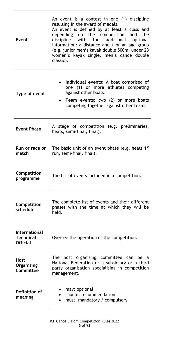| Event                                                       | An event is a contest in one (1) discipline<br>resulting in the award of medals.<br>An event is defined by at least a class and<br>depending on the competition and the<br>discipline with the additional optional<br>information: a distance and $\prime$ or an age group<br>(e.g. junior men's kayak double 500m, under 23<br>women's kayak single, men's canoe double<br>classic). |
|-------------------------------------------------------------|---------------------------------------------------------------------------------------------------------------------------------------------------------------------------------------------------------------------------------------------------------------------------------------------------------------------------------------------------------------------------------------|
| Type of event                                               | Individual events: A boat comprised of<br>one (1) or more athletes competing<br>against other boats.<br>Team events: two (2) or more boats<br>$\bullet$<br>competing together against other teams.                                                                                                                                                                                    |
| <b>Event Phase</b>                                          | A stage of competition (e.g. preliminaries,<br>heats, semi-final, final).                                                                                                                                                                                                                                                                                                             |
| Run or race or<br>match                                     | The basic unit of an event phase (e.g. heats 1 <sup>st</sup><br>run, semi-final, final).                                                                                                                                                                                                                                                                                              |
| Competition<br>programme                                    | The list of events included in a competition.                                                                                                                                                                                                                                                                                                                                         |
| Competition<br>schedule                                     | The complete list of events and their different<br>phases with the time at which they will be<br>held.                                                                                                                                                                                                                                                                                |
| <b>International</b><br><b>Technical</b><br><b>Official</b> | Oversee the operation of the competition.                                                                                                                                                                                                                                                                                                                                             |
| <b>Host</b><br>Organising<br>Committee                      | The host organising committee can be a<br>National Federation or a subsidiary or a third<br>party organisation specialising in competition<br>management.                                                                                                                                                                                                                             |
| Definition of<br>meaning                                    | may: optional<br>should: recommendation<br>$\bullet$<br>must: mandatory / compulsory                                                                                                                                                                                                                                                                                                  |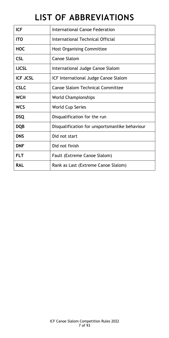## **LIST OF ABBREVIATIONS**

| <b>ICF</b>      | International Canoe Federation                 |
|-----------------|------------------------------------------------|
| <b>ITO</b>      | International Technical Official               |
| <b>HOC</b>      | <b>Host Organising Committee</b>               |
| <b>CSL</b>      | <b>Canoe Slalom</b>                            |
| <b>IJCSL</b>    | International Judge Canoe Slalom               |
| <b>ICF JCSL</b> | ICF International Judge Canoe Slalom           |
| <b>CSLC</b>     | <b>Canoe Slalom Technical Committee</b>        |
| <b>WCH</b>      | <b>World Championships</b>                     |
| <b>WCS</b>      | <b>World Cup Series</b>                        |
| <b>DSQ</b>      | Disqualification for the run                   |
| <b>DQB</b>      | Disqualification for unsportsmanlike behaviour |
| <b>DNS</b>      | Did not start                                  |
| <b>DNF</b>      | Did not finish                                 |
| <b>FLT</b>      | Fault (Extreme Canoe Slalom)                   |
| <b>RAL</b>      | Rank as Last (Extreme Canoe Slalom)            |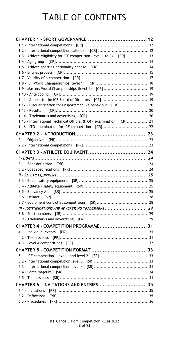## TABLE OF CONTENTS

| 1.3 - Athlete eligibility for ICF competition (level 1 to 3) [CR] 13 |  |
|----------------------------------------------------------------------|--|
|                                                                      |  |
|                                                                      |  |
|                                                                      |  |
|                                                                      |  |
| 1.9 - Masters World Championships (level 4) [CR]  19                 |  |
|                                                                      |  |
|                                                                      |  |
| 1.12 - Disqualification for unsportsmanlike behaviour [CR] 20        |  |
|                                                                      |  |
|                                                                      |  |
| 1.15 - International Technical Official (ITO) - examination [CR] 21  |  |
|                                                                      |  |
|                                                                      |  |
|                                                                      |  |
|                                                                      |  |
|                                                                      |  |
|                                                                      |  |
|                                                                      |  |
|                                                                      |  |
|                                                                      |  |
|                                                                      |  |
|                                                                      |  |
|                                                                      |  |
|                                                                      |  |
|                                                                      |  |
| III - IDENTIFICATIONS AND ADVERTISING TRADEMARKS  29                 |  |
|                                                                      |  |
|                                                                      |  |
| CHAPTER 4 - COMPETITION PROGRAMME 31                                 |  |
|                                                                      |  |
|                                                                      |  |
|                                                                      |  |
|                                                                      |  |
|                                                                      |  |
|                                                                      |  |
|                                                                      |  |
|                                                                      |  |
|                                                                      |  |
| CHAPTER 6 - INVITATIONS AND ENTRIES  35                              |  |
|                                                                      |  |
|                                                                      |  |
|                                                                      |  |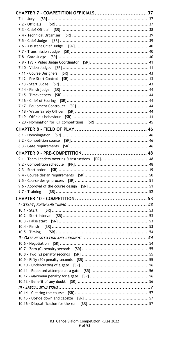| CHAPTER 7 - COMPETITION OFFICIALS 37              |  |
|---------------------------------------------------|--|
|                                                   |  |
|                                                   |  |
|                                                   |  |
|                                                   |  |
|                                                   |  |
|                                                   |  |
|                                                   |  |
|                                                   |  |
|                                                   |  |
|                                                   |  |
|                                                   |  |
|                                                   |  |
|                                                   |  |
|                                                   |  |
|                                                   |  |
|                                                   |  |
|                                                   |  |
|                                                   |  |
|                                                   |  |
|                                                   |  |
|                                                   |  |
|                                                   |  |
|                                                   |  |
|                                                   |  |
| 9.1 - Team Leaders meeting & instructions [PR] 48 |  |
|                                                   |  |
|                                                   |  |
|                                                   |  |
|                                                   |  |
|                                                   |  |
|                                                   |  |
| 9.7 - Training                                    |  |
|                                                   |  |
|                                                   |  |
|                                                   |  |
| 10.1 - Start                                      |  |
|                                                   |  |
|                                                   |  |
| 10.4 - Finish<br>$10.5 - Timing$                  |  |
|                                                   |  |
|                                                   |  |
|                                                   |  |
|                                                   |  |
|                                                   |  |
|                                                   |  |
|                                                   |  |
|                                                   |  |
|                                                   |  |
|                                                   |  |
|                                                   |  |
|                                                   |  |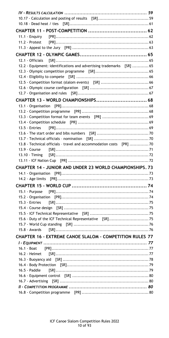| 12.2 - Equipment: identifications and advertising trademarks [SR]  65 |  |
|-----------------------------------------------------------------------|--|
|                                                                       |  |
|                                                                       |  |
|                                                                       |  |
|                                                                       |  |
| CHAPTER 13 - WORLD CHAMPIONSHIPS 68                                   |  |
|                                                                       |  |
|                                                                       |  |
|                                                                       |  |
|                                                                       |  |
| 13.5 - Entries                                                        |  |
|                                                                       |  |
| 13.8 - Technical officials - travel and accommodation costs [PR] 70   |  |
| 13.9 - Course                                                         |  |
|                                                                       |  |
|                                                                       |  |
| <b>CHAPTER 14 - JUNIOR AND UNDER 23 WORLD CHAMPIONSHIPS, 73</b>       |  |
|                                                                       |  |
|                                                                       |  |
|                                                                       |  |
| 15.1 - Purpose                                                        |  |
|                                                                       |  |
| 15.3 - Entries                                                        |  |
|                                                                       |  |
|                                                                       |  |
|                                                                       |  |
|                                                                       |  |
| 15.8 - Awards                                                         |  |
| CHAPTER 16 - EXTREME CANOE SLALOM - COMPETITION RULES 77              |  |
|                                                                       |  |
| 16.1 - Boat<br>16.2 - Helmet                                          |  |
|                                                                       |  |
|                                                                       |  |
| 16.5 - Paddle                                                         |  |
|                                                                       |  |
|                                                                       |  |
|                                                                       |  |
|                                                                       |  |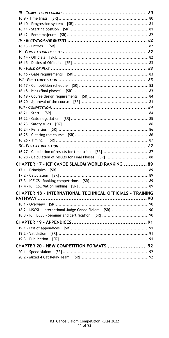| 16.28 - Calculation of results for Final Phases [SR]  88  |  |
|-----------------------------------------------------------|--|
|                                                           |  |
| CHAPTER 17 - ICF CANOE SLALOM WORLD RANKING  89           |  |
|                                                           |  |
|                                                           |  |
|                                                           |  |
|                                                           |  |
| CHAPTER 18 - INTERNATIONAL TECHNICAL OFFICIALS - TRAINING |  |
|                                                           |  |
| 18.2 - IJSCSL - International Judge Canoe Slalom [SR] 90  |  |
|                                                           |  |
|                                                           |  |
|                                                           |  |
|                                                           |  |
|                                                           |  |
| CHAPTER 20 - NEW COMPETITION FORMATS  92                  |  |
|                                                           |  |
|                                                           |  |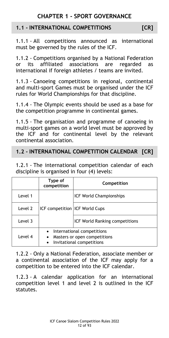### **CHAPTER 1 - SPORT GOVERNANCE**

#### <span id="page-11-1"></span><span id="page-11-0"></span>**1.1 - INTERNATIONAL COMPETITIONS [CR]**

1.1.1 - All competitions announced as international must be governed by the rules of the ICF.

1.1.2 - Competitions organised by a National Federation or its affiliated associations are regarded as international if foreign athletes / teams are invited.

1.1.3 - Canoeing competitions in regional, continental and multi-sport Games must be organised under the ICF rules for World Championships for that discipline.

1.1.4 - The Olympic events should be used as a base for the competition programme in continental games.

1.1.5 - The organisation and programme of canoeing in multi-sport games on a world level must be approved by the ICF and for continental level by the relevant continental association.

#### <span id="page-11-2"></span>**1.2 - INTERNATIONAL COMPETITION CALENDAR [CR]**

1.2.1 - The international competition calendar of each discipline is organised in four (4) levels:

|         | Type of<br>competition                | Competition                                                                               |
|---------|---------------------------------------|-------------------------------------------------------------------------------------------|
| Level 1 | <b>ICF competition ICF World Cups</b> | <b>ICF World Championships</b>                                                            |
| Level 2 |                                       |                                                                                           |
| Level 3 |                                       | <b>ICF World Ranking competitions</b>                                                     |
| Level 4 | $\bullet$<br>$\bullet$                | • International competitions<br>Masters or open competitions<br>Invitational competitions |

1.2.2 - Only a National Federation, associate member or a continental association of the ICF may apply for a competition to be entered into the ICF calendar.

1.2.3 - A calendar application for an international competition level 1 and level 2 is outlined in the ICF statutes.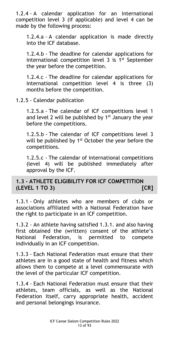1.2.4 - A calendar application for an international competition level 3 (if applicable) and level 4 can be made by the following process:

1.2.4.a - A calendar application is made directly into the ICF database.

1.2.4.b - The deadline for calendar applications for international competition level  $3$  is  $1^{st}$  September the year before the competition.

1.2.4.c - The deadline for calendar applications for international competition level 4 is three (3) months before the competition.

1.2.5 - Calendar publication

1.2.5.a - The calendar of ICF competitions level 1 and level 2 will be published by  $1<sup>st</sup>$  January the year before the competitions.

1.2.5.b - The calendar of ICF competitions level 3 will be published by 1<sup>st</sup> October the year before the competitions.

1.2.5.c - The calendar of international competitions (level 4) will be published immediately after approval by the ICF.

#### <span id="page-12-0"></span>**1.3 - ATHLETE ELIGIBILITY FOR ICF COMPETITION (LEVEL 1 TO 3) [CR]**

1.3.1 - Only athletes who are members of clubs or associations affiliated with a National Federation have the right to participate in an ICF competition.

1.3.2 - An athlete having satisfied 1.3.1. and also having first obtained the (written) consent of the athlete's National Federation, is permitted to compete individually in an ICF competition.

1.3.3 - Each National Federation must ensure that their athletes are in a good state of health and fitness which allows them to compete at a level commensurate with the level of the particular ICF competition.

1.3.4 - Each National Federation must ensure that their athletes, team officials, as well as the National Federation itself, carry appropriate health, accident and personal belongings insurance.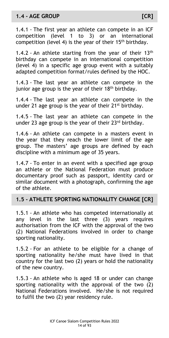#### <span id="page-13-0"></span>**1.4 - AGE GROUP [CR]**

1.4.1 - The first year an athlete can compete in an ICF competition (level 1 to 3) or an international competition (level 4) is the year of their  $15<sup>th</sup>$  birthday.

1.4.2 - An athlete starting from the year of their  $13<sup>th</sup>$ birthday can compete in an international competition (level 4) in a specific age group event with a suitably adapted competition format/rules defined by the HOC.

1.4.3 - The last year an athlete can compete in the junior age group is the year of their  $18<sup>th</sup>$  birthday.

1.4.4 - The last year an athlete can compete in the under 21 age group is the year of their 21<sup>st</sup> birthday.

1.4.5 - The last year an athlete can compete in the under 23 age group is the year of their 23<sup>rd</sup> birthday.

1.4.6 - An athlete can compete in a masters event in the year that they reach the lower limit of the age group. The masters' age groups are defined by each discipline with a minimum age of 35 years.

1.4.7 - To enter in an event with a specified age group an athlete or the National Federation must produce documentary proof such as passport, identity card or similar document with a photograph, confirming the age of the athlete.

#### <span id="page-13-1"></span>**1.5 - ATHLETE SPORTING NATIONALITY CHANGE [CR]**

1.5.1 - An athlete who has competed internationally at any level in the last three (3) years requires authorisation from the ICF with the approval of the two (2) National Federations involved in order to change sporting nationality.

1.5.2 - For an athlete to be eligible for a change of sporting nationality he/she must have lived in that country for the last two (2) years or hold the nationality of the new country.

1.5.3 - An athlete who is aged 18 or under can change sporting nationality with the approval of the two (2) National Federations involved. He/she is not required to fulfil the two (2) year residency rule.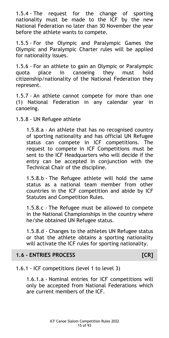1.5.4 - The request for the change of sporting nationality must be made to the ICF by the new National Federation no later than 30 November the year before the athlete wants to compete.

1.5.5 - For the Olympic and Paralympic Games the Olympic and Paralympic Charter rules will be applied for nationality issues.

1.5.6 - For an athlete to gain an Olympic or Paralympic quota place in canoeing they must hold citizenship/nationality of the National Federation they represent.

1.5.7 - An athlete cannot compete for more than one (1) National Federation in any calendar year in canoeing.

1.5.8 - UN Refugee athlete

1.5.8.a - An athlete that has no recognised country of sporting nationality and has official UN Refugee status can compete in ICF competitions. The request to compete in ICF Competitions must be sent to the ICF Headquarters who will decide if the entry can be accepted in conjunction with the Technical Chair of the discipline.

1.5.8.b - The Refugee athlete will hold the same status as a national team member from other countries in the ICF competition and abide by ICF Statutes and Competition Rules.

1.5.8.c - The Refugee must be allowed to compete in the National Championships in the country where he/she obtained UN Refugee status.

1.5.8.d - Changes to the athletes UN Refugee status or that the athlete obtains a sporting nationality will activate the ICF rules for sporting nationality.

#### <span id="page-14-0"></span>**1.6 - ENTRIES PROCESS [CR]**

#### 1.6.1 - ICF competitions (level 1 to level 3)

1.6.1.a - Nominal entries for ICF competitions will only be accepted from National Federations which are current members of the ICF.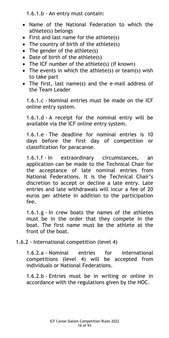1.6.1.b - An entry must contain:

- Name of the National Federation to which the athlete(s) belongs
- $\bullet$  First and last name for the athlete(s)
- The country of birth of the athlete(s)
- The gender of the athlete(s)
- Date of birth of the athlete(s)
- The ICF number of the athlete(s) (if known)
- The events in which the athlete(s) or team(s) wish to take part
- The first, last name(s) and the e-mail address of the Team Leader

1.6.1.c - Nominal entries must be made on the ICF online entry system.

1.6.1.d - A receipt for the nominal entry will be available via the ICF online entry system.

1.6.1.e - The deadline for nominal entries is 10 days before the first day of competition or classification for paracanoe.

1.6.1.f - In extraordinary circumstances, an application can be made to the Technical Chair for the acceptance of late nominal entries from National Federations. It is the Technical Chair's discretion to accept or decline a late entry. Late entries and late withdrawals will incur a fee of 20 euros per athlete in addition to the participation fee.

1.6.1.g - In crew boats the names of the athletes must be in the order that they compete in the boat. The first name must be the athlete at the front of the boat.

1.6.2 - International competition (level 4)

1.6.2.a - Nominal entries for international competitions (level 4) will be accepted from individuals or National Federations.

1.6.2.b - Entries must be in writing or online in accordance with the regulations given by the HOC.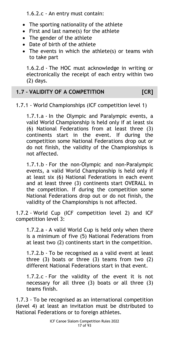1.6.2.c - An entry must contain:

- The sporting nationality of the athlete
- First and last name(s) for the athlete
- The gender of the athlete
- Date of birth of the athlete
- The events in which the athlete(s) or teams wish to take part

1.6.2.d - The HOC must acknowledge in writing or electronically the receipt of each entry within two (2) days.

#### <span id="page-16-0"></span>**1.7 - VALIDITY OF A COMPETITION [CR]**

#### 1.7.1 - World Championships (ICF competition level 1)

1.7.1.a - In the Olympic and Paralympic events, a valid World Championship is held only if at least six (6) National Federations from at least three (3) continents start in the event. If during the competition some National Federations drop out or do not finish, the validity of the Championships is not affected.

1.7.1.b - For the non-Olympic and non-Paralympic events, a valid World Championship is held only if at least six (6) National Federations in each event and at least three (3) continents start OVERALL in the competition. If during the competition some National Federations drop out or do not finish, the validity of the Championships is not affected.

1.7.2 - World Cup (ICF competition level 2) and ICF competition level 3:

1.7.2.a - A valid World Cup is held only when there is a minimum of five (5) National Federations from at least two (2) continents start in the competition.

1.7.2.b - To be recognised as a valid event at least three  $(3)$  boats or three  $(3)$  teams from two  $(2)$ different National Federations start in that event.

1.7.2.c - For the validity of the event it is not necessary for all three (3) boats or all three (3) teams finish.

1.7.3 - To be recognised as an international competition (level 4) at least an invitation must be distributed to National Federations or to foreign athletes.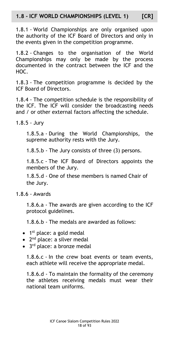#### <span id="page-17-0"></span>**1.8 - ICF WORLD CHAMPIONSHIPS (LEVEL 1) [CR]**

1.8.1 - World Championships are only organised upon the authority of the ICF Board of Directors and only in the events given in the competition programme.

1.8.2 - Changes to the organisation of the World Championships may only be made by the process documented in the contract between the ICF and the HOC.

1.8.3 - The competition programme is decided by the ICF Board of Directors.

1.8.4 - The competition schedule is the responsibility of the ICF. The ICF will consider the broadcasting needs and / or other external factors affecting the schedule.

1.8.5 - Jury

1.8.5.a - During the World Championships, the supreme authority rests with the Jury.

1.8.5.b - The Jury consists of three (3) persons.

1.8.5.c - The ICF Board of Directors appoints the members of the Jury.

1.8.5.d - One of these members is named Chair of the Jury.

1.8.6 - Awards

1.8.6.a - The awards are given according to the ICF protocol guidelines.

1.8.6.b - The medals are awarded as follows:

- 1<sup>st</sup> place: a gold medal
- 2<sup>nd</sup> place: a silver medal
- 3<sup>rd</sup> place: a bronze medal

1.8.6.c - In the crew boat events or team events, each athlete will receive the appropriate medal.

1.8.6.d - To maintain the formality of the ceremony the athletes receiving medals must wear their national team uniforms.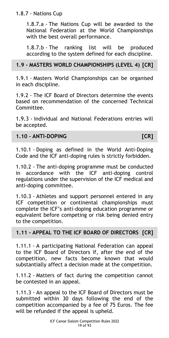#### 1.8.7 - Nations Cup

1.8.7.a - The Nations Cup will be awarded to the National Federation at the World Championships with the best overall performance.

1.8.7.b - The ranking list will be produced according to the system defined for each discipline.

#### <span id="page-18-0"></span>**1.9 - MASTERS WORLD CHAMPIONSHIPS (LEVEL 4) [CR]**

1.9.1 - Masters World Championships can be organised in each discipline.

1.9.2 - The ICF Board of Directors determine the events based on recommendation of the concerned Technical Committee.

1.9.3 - Individual and National Federations entries will be accepted.

#### <span id="page-18-1"></span>**1.10 - ANTI-DOPING [CR]**

1.10.1 - Doping as defined in the World Anti-Doping Code and the ICF anti-doping rules is strictly forbidden.

1.10.2 - The anti-doping programme must be conducted in accordance with the ICF anti-doping control regulations under the supervision of the ICF medical and anti-doping committee.

1.10.3 - Athletes and support personnel entered in any ICF competition or continental championships must complete the ICF's anti-doping education programme or equivalent before competing or risk being denied entry to the competition.

#### <span id="page-18-2"></span>**1.11 - APPEAL TO THE ICF BOARD OF DIRECTORS [CR]**

1.11.1 - A participating National Federation can appeal to the ICF Board of Directors if, after the end of the competition, new facts become known that would substantially affect a decision made at the competition.

1.11.2 - Matters of fact during the competition cannot be contested in an appeal.

1.11.3 - An appeal to the ICF Board of Directors must be submitted within 30 days following the end of the competition accompanied by a fee of 75 Euros. The fee will be refunded if the appeal is upheld.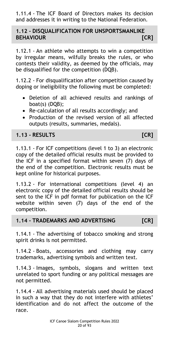1.11.4 - The ICF Board of Directors makes its decision and addresses it in writing to the National Federation.

#### <span id="page-19-0"></span>**1.12 - DISQUALIFICATION FOR UNSPORTSMANLIKE BEHAVIOUR [CR]**

1.12.1 - An athlete who attempts to win a competition by irregular means, wilfully breaks the rules, or who contests their validity, as deemed by the officials, may be disqualified for the competition (DQB).

1.12.2 - For disqualification after competition caused by doping or ineligibility the following must be completed:

- Deletion of all achieved results and rankings of boat(s) (DQB);
- Re-calculation of all results accordingly; and
- Production of the revised version of all affected outputs (results, summaries, medals).

#### <span id="page-19-1"></span>**1.13 - RESULTS [CR]**

1.13.1 - For ICF competitions (level 1 to 3) an electronic copy of the detailed official results must be provided to the ICF in a specified format within seven (7) days of the end of the competition. Electronic results must be kept online for historical purposes.

1.13.2 - For international competitions (level 4) an electronic copy of the detailed official results should be sent to the ICF in pdf format for publication on the ICF website within seven (7) days of the end of the competition.

#### <span id="page-19-2"></span>**1.14 - TRADEMARKS AND ADVERTISING [CR]**

1.14.1 - The advertising of tobacco smoking and strong spirit drinks is not permitted.

1.14.2 - Boats, accessories and clothing may carry trademarks, advertising symbols and written text.

1.14.3 - Images, symbols, slogans and written text unrelated to sport funding or any political messages are not permitted.

1.14.4 - All advertising materials used should be placed in such a way that they do not interfere with athletes' identification and do not affect the outcome of the race.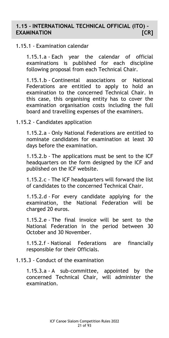#### <span id="page-20-0"></span>**1.15 - INTERNATIONAL TECHNICAL OFFICIAL (ITO) – EXAMINATION [CR]**

#### 1.15.1 - Examination calendar

1.15.1.a - Each year the calendar of official examinations is published for each discipline following proposal from each Technical Chair.

1.15.1.b - Continental associations or National Federations are entitled to apply to hold an examination to the concerned Technical Chair. In this case, this organising entity has to cover the examination organisation costs including the full board and travelling expenses of the examiners.

#### 1.15.2 - Candidates application

1.15.2.a - Only National Federations are entitled to nominate candidates for examination at least 30 days before the examination.

1.15.2.b - The applications must be sent to the ICF headquarters on the form designed by the ICF and published on the ICF website.

1.15.2.c - The ICF headquarters will forward the list of candidates to the concerned Technical Chair.

1.15.2.d - For every candidate applying for the examination, the National Federation will be charged 20 euros.

1.15.2.e - The final invoice will be sent to the National Federation in the period between 30 October and 30 November.

1.15.2.f - National Federations are financially responsible for their Officials.

#### 1.15.3 - Conduct of the examination

1.15.3.a - A sub-committee, appointed by the concerned Technical Chair, will administer the examination.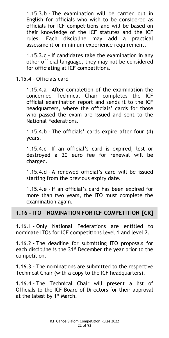1.15.3.b - The examination will be carried out in English for officials who wish to be considered as officials for ICF competitions and will be based on their knowledge of the ICF statutes and the ICF rules. Each discipline may add a practical assessment or minimum experience requirement.

1.15.3.c - If candidates take the examination in any other official language, they may not be considered for officiating at ICF competitions.

1.15.4 - Officials card

1.15.4.a - After completion of the examination the concerned Technical Chair completes the ICF official examination report and sends it to the ICF headquarters, where the officials' cards for those who passed the exam are issued and sent to the National Federations.

1.15.4.b - The officials' cards expire after four (4) years.

1.15.4.c - If an official's card is expired, lost or destroyed a 20 euro fee for renewal will be charged.

1.15.4.d - A renewed official's card will be issued starting from the previous expiry date.

1.15.4.e - If an official's card has been expired for more than two years, the ITO must complete the examination again.

#### <span id="page-21-0"></span>**1.16 - ITO – NOMINATION FOR ICF COMPETITION [CR]**

1.16.1 - Only National Federations are entitled to nominate ITOs for ICF competitions level 1 and level 2.

1.16.2 - The deadline for submitting ITO proposals for each discipline is the  $31<sup>st</sup>$  December the year prior to the competition.

1.16.3 - The nominations are submitted to the respective Technical Chair (with a copy to the ICF headquarters).

1.16.4 - The Technical Chair will present a list of Officials to the ICF Board of Directors for their approval at the latest by 1<sup>st</sup> March.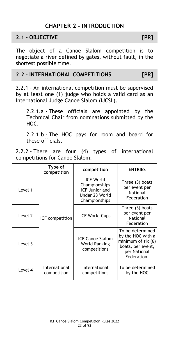### **CHAPTER 2 - INTRODUCTION**

#### <span id="page-22-1"></span><span id="page-22-0"></span>**2.1 - OBJECTIVE [PR]**

The object of a Canoe Slalom competition is to negotiate a river defined by gates, without fault, in the shortest possible time.

#### <span id="page-22-2"></span>**2.2 - INTERNATIONAL COMPETITIONS [PR]**

2.2.1 - An international competition must be supervised by at least one (1) judge who holds a valid card as an International Judge Canoe Slalom (IJCSL).

2.2.1.a - These officials are appointed by the Technical Chair from nominations submitted by the HOC.

2.2.1.b - The HOC pays for room and board for these officials.

2.2.2 - There are four (4) types of international competitions for Canoe Slalom:

|         | Type of<br>competition       | competition                                                                            | <b>ENTRIES</b>                                                                                                   |
|---------|------------------------------|----------------------------------------------------------------------------------------|------------------------------------------------------------------------------------------------------------------|
| Level 1 | ICF competition              | <b>ICF World</b><br>Championships<br>ICF Junior and<br>Under 23 World<br>Championships | Three (3) boats<br>per event per<br><b>National</b><br>Federation                                                |
| Level 2 |                              | <b>ICF World Cups</b>                                                                  | Three (3) boats<br>per event per<br><b>National</b><br>Federation                                                |
| Level 3 |                              | <b>ICF Canoe Slalom</b><br><b>World Ranking</b><br>competitions                        | To be determined<br>by the HOC with a<br>minimum of $six(6)$<br>boats, per event,<br>per National<br>Federation. |
| Level 4 | International<br>competition | International<br>competitions                                                          | To be determined<br>by the HOC                                                                                   |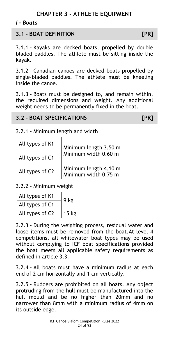### **CHAPTER 3 - ATHLETE EQUIPMENT**

#### <span id="page-23-1"></span><span id="page-23-0"></span>*I - Boats*

#### <span id="page-23-2"></span>**3.1 - BOAT DEFINITION [PR]**

3.1.1 - Kayaks are decked boats, propelled by double bladed paddles. The athlete must be sitting inside the kayak.

3.1.2 - Canadian canoes are decked boats propelled by single-bladed paddles. The athlete must be kneeling inside the canoe.

3.1.3 - Boats must be designed to, and remain within, the required dimensions and weight. Any additional weight needs to be permanently fixed in the boat.

#### <span id="page-23-3"></span>**3.2 - BOAT SPECIFICATIONS [PR]**

#### 3.2.1 - Minimum length and width

| All types of K1 | Minimum length 3.50 m                         |
|-----------------|-----------------------------------------------|
| All types of C1 | Minimum width 0.60 m                          |
| All types of C2 | Minimum length 4.10 m<br>Minimum width 0.75 m |

#### 3.2.2 - Minimum weight

| All types of K1 | 9 kg  |
|-----------------|-------|
| All types of C1 |       |
| All types of C2 | 15 kg |

3.2.3 - During the weighing process, residual water and loose items must be removed from the boat.At level 4 competitions, all whitewater boat types may be used without complying to ICF boat specifications provided the boat meets all applicable safety requirements as defined in article 3.3.

3.2.4 - All boats must have a minimum radius at each end of 2 cm horizontally and 1 cm vertically.

3.2.5 - Rudders are prohibited on all boats. Any object protruding from the hull must be manufactured into the hull mould and be no higher than 20mm and no narrower than 8mm with a minimum radius of 4mm on its outside edge.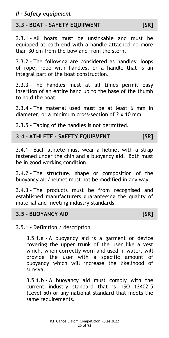<span id="page-24-0"></span>*II - Safety equipment*

#### <span id="page-24-1"></span>**3.3 - BOAT – SAFETY EQUIPMENT [SR]**

3.3.1 - All boats must be unsinkable and must be equipped at each end with a handle attached no more than 30 cm from the bow and from the stern.

3.3.2 - The following are considered as handles: loops of rope, rope with handles, or a handle that is an integral part of the boat construction.

3.3.3 - The handles must at all times permit easy insertion of an entire hand up to the base of the thumb to hold the boat.

3.3.4 - The material used must be at least 6 mm in diameter, or a minimum cross-section of 2 x 10 mm.

3.3.5 - Taping of the handles is not permitted.

#### <span id="page-24-2"></span>**3.4 - ATHLETE – SAFETY EQUIPMENT [SR]**

3.4.1 - Each athlete must wear a helmet with a strap fastened under the chin and a buoyancy aid. Both must be in good working condition.

3.4.2 - The structure, shape or composition of the buoyancy aid/helmet must not be modified in any way.

3.4.3 - The products must be from recognised and established manufacturers guaranteeing the quality of material and meeting industry standards.

#### <span id="page-24-3"></span>**3.5 - BUOYANCY AID [SR]**

3.5.1 - Definition / description

3.5.1.a - A buoyancy aid is a garment or device covering the upper trunk of the user like a vest which, when correctly worn and used in water, will provide the user with a specific amount of buoyancy which will increase the likelihood of survival.

3.5.1.b - A buoyancy aid must comply with the current industry standard that is, ISO 12402-5 (Level 50) or any national standard that meets the same requirements.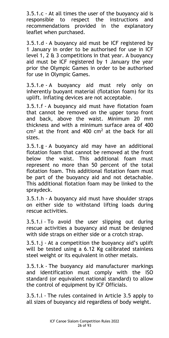3.5.1.c - At all times the user of the buoyancy aid is responsible to respect the instructions and recommendations provided in the explanatory leaflet when purchased.

3.5.1.d - A buoyancy aid must be ICF registered by 1 January in order to be authorised for use in ICF level 1, 2  $\&$  3 competitions in that year. A buoyancy aid must be ICF registered by 1 January the year prior the Olympic Games in order to be authorised for use in Olympic Games.

3.5.1.e - A buoyancy aid must rely only on inherently buoyant material (flotation foam) for its uplift. Inflating devices are not acceptable.

3.5.1.f - A buoyancy aid must have flotation foam that cannot be removed on the upper torso front and back, above the waist. Minimum 20 mm thickness and with a minimum surface area of 400  $cm<sup>2</sup>$  at the front and 400  $cm<sup>2</sup>$  at the back for all sizes.

3.5.1.g - A buoyancy aid may have an additional flotation foam that cannot be removed at the front below the waist. This additional foam must represent no more than 50 percent of the total flotation foam. This additional flotation foam must be part of the buoyancy aid and not detachable. This additional flotation foam may be linked to the spraydeck.

3.5.1.h - A buoyancy aid must have shoulder straps on either side to withstand lifting loads during rescue activities.

3.5.1.i - To avoid the user slipping out during rescue activities a buoyancy aid must be designed with side straps on either side or a crotch strap.

3.5.1.j - At a competition the buoyancy aid's uplift will be tested using a 6.12 Kg calibrated stainless steel weight or its equivalent in other metals.

3.5.1.k - The buoyancy aid manufacturer markings and identification must comply with the ISO standard (or equivalent national standard) to allow the control of equipment by ICF Officials.

3.5.1.l - The rules contained in Article 3.5 apply to all sizes of buoyancy aid regardless of body weight.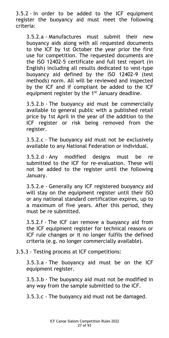3.5.2 - In order to be added to the ICF equipment register the buoyancy aid must meet the following criteria:

3.5.2.a - Manufactures must submit their new buoyancy aids along with all requested documents to the ICF by 1st October the year prior the first use for competition. The requested documents are the ISO 12402-5 certificate and full test report (in English) including all results dedicated to vest-type buoyancy aid defined by the ISO 12402-9 (test methods) norm. All will be reviewed and inspected by the ICF and if compliant be added to the ICF equipment register by the 1<sup>st</sup> January deadline.

3.5.2.b - The buoyancy aid must be commercially available to general public with a published retail price by 1st April in the year of the addition to the ICF register or risk being removed from the register.

3.5.2.c - The buoyancy aid must not be exclusively available to any National Federation or individual.

3.5.2.d - Any modified designs must be re submitted to the ICF for re-evaluation. These will not be added to the register until the following January.

3.5.2.e - Generally any ICF registered buoyancy aid will stay on the equipment register until their ISO or any national standard certification expires, up to a maximum of five years. After this period, they must be re submitted.

3.5.2.f - The ICF can remove a buoyancy aid from the ICF equipment register for technical reasons or ICF rule changes or it no longer fulfils the defined criteria (e.g. no longer commercially available).

3.5.3 - Testing process at ICF competitions:

3.5.3.a - The buoyancy aid must be on the ICF equipment register.

3.5.3.b - The buoyancy aid must not be modified in any way from the sample submitted to the ICF.

3.5.3.c - The buoyancy aid must not be damaged.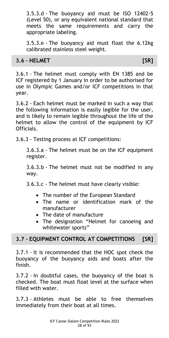3.5.3.d - The buoyancy aid must be ISO 12402-5 (Level 50), or any equivalent national standard that meets the same requirements and carry the appropriate labeling.

3.5.3.e - The buoyancy aid must float the 6.12kg calibrated stainless steel weight.

#### <span id="page-27-0"></span>**3.6 - HELMET [SR]**

3.6.1 - The helmet must comply with EN 1385 and be ICF registered by 1 January in order to be authorised for use in Olympic Games and/or ICF competitions in that year.

3.6.2 - Each helmet must be marked in such a way that the following information is easily legible for the user, and is likely to remain legible throughout the life of the helmet to allow the control of the equipment by ICF Officials.

3.6.3 - Testing process at ICF competitions:

3.6.3.a - The helmet must be on the ICF equipment register.

3.6.3.b - The helmet must not be modified in any way.

3.6.3.c - The helmet must have clearly visible:

- The number of the European Standard
- The name or identification mark of the manufacturer
- The date of manufacture
- The designation "Helmet for canoeing and whitewater sports"

#### <span id="page-27-1"></span>**3.7 - EQUIPMENT CONTROL AT COMPETITIONS [SR]**

3.7.1 - It is recommended that the HOC spot check the buoyancy of the buoyancy aids and boats after the finish.

3.7.2 - In doubtful cases, the buoyancy of the boat is checked. The boat must float level at the surface when filled with water.

3.7.3 - Athletes must be able to free themselves immediately from their boat at all times.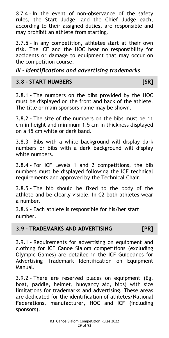3.7.4 - In the event of non-observance of the safety rules, the Start Judge, and the Chief Judge each, according to their assigned duties, are responsible and may prohibit an athlete from starting.

3.7.5 - In any competition, athletes start at their own risk. The ICF and the HOC bear no responsibility for accidents or damage to equipment that may occur on the competition course.

<span id="page-28-0"></span>*III - Identifications and advertising trademarks*

#### <span id="page-28-1"></span>**3.8 - START NUMBERS [SR]**

3.8.1 - The numbers on the bibs provided by the HOC must be displayed on the front and back of the athlete. The title or main sponsors name may be shown.

3.8.2 - The size of the numbers on the bibs must be 11 cm in height and minimum 1.5 cm in thickness displayed on a 15 cm white or dark band.

3.8.3 - Bibs with a white background will display dark numbers or bibs with a dark background will display white numbers.

3.8.4 - For ICF Levels 1 and 2 competitions, the bib numbers must be displayed following the ICF technical requirements and approved by the Technical Chair.

3.8.5 - The bib should be fixed to the body of the athlete and be clearly visible. In C2 both athletes wear a number.

3.8.6 - Each athlete is responsible for his/her start number.

#### <span id="page-28-2"></span>**3.9 - TRADEMARKS AND ADVERTISING [PR]**

3.9.1 - Requirements for advertising on equipment and clothing for ICF Canoe Slalom competitions (excluding Olympic Games) are detailed in the ICF Guidelines for Advertising Trademark Identification on Equipment Manual.

3.9.2 - There are reserved places on equipment (Eg. boat, paddle, helmet, buoyancy aid, bibs) with size limitations for trademarks and advertising. These areas are dedicated for the identification of athletes/National Federations, manufacturer, HOC and ICF (including sponsors).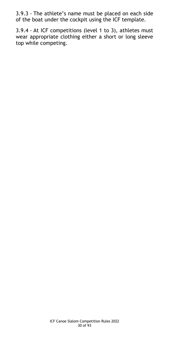3.9.3 - The athlete's name must be placed on each side of the boat under the cockpit using the ICF template.

3.9.4 - At ICF competitions (level 1 to 3), athletes must wear appropriate clothing either a short or long sleeve top while competing.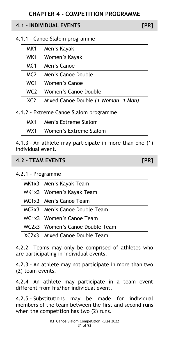#### <span id="page-30-1"></span><span id="page-30-0"></span>**4.1 - INDIVIDUAL EVENTS [PR]**

4.1.1 - Canoe Slalom programme

| MK1             | Men's Kayak                         |
|-----------------|-------------------------------------|
| WK1             | Women's Kayak                       |
| MC <sub>1</sub> | Men's Canoe                         |
| MC <sub>2</sub> | Men's Canoe Double                  |
| WC <sub>1</sub> | Women's Canoe                       |
| WC <sub>2</sub> | Women's Canoe Double                |
| XC <sub>2</sub> | Mixed Canoe Double (1 Woman, 1 Man) |

4.1.2 - Extreme Canoe Slalom programme

| MX1 | Men's Extreme Slalom   |
|-----|------------------------|
| WX1 | Women's Extreme Slalom |

4.1.3 - An athlete may participate in more than one (1) individual event.

#### <span id="page-30-2"></span>**4.2 - TEAM EVENTS [PR]**

4.2.1 - Programme

| MK1x3   Men's Kayak Team          |
|-----------------------------------|
| WK1x3   Women's Kayak Team        |
| MC1x3   Men's Canoe Team          |
| MC2x3   Men's Canoe Double Team   |
| WC1x3   Women's Canoe Team        |
| WC2x3   Women's Canoe Double Team |
| XC2x3   Mixed Canoe Double Team   |

4.2.2 - Teams may only be comprised of athletes who are participating in individual events.

4.2.3 - An athlete may not participate in more than two (2) team events.

4.2.4 - An athlete may participate in a team event different from his/her individual event.

4.2.5 - Substitutions may be made for individual members of the team between the first and second runs when the competition has two (2) runs.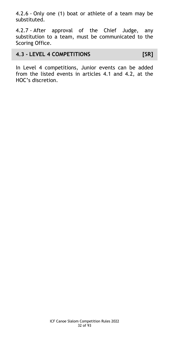4.2.6 - Only one (1) boat or athlete of a team may be substituted.

4.2.7 - After approval of the Chief Judge, any substitution to a team, must be communicated to the Scoring Office.

#### <span id="page-31-0"></span>**4.3 - LEVEL 4 COMPETITIONS [SR]**

In Level 4 competitions, Junior events can be added from the listed events in articles 4.1 and 4.2, at the HOC's discretion.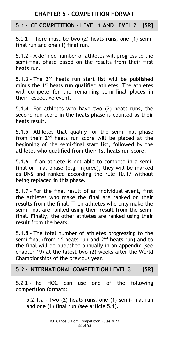#### **CHAPTER 5 - COMPETITION FORMAT**

#### <span id="page-32-1"></span><span id="page-32-0"></span>**5.1 - ICF COMPETITION – LEVEL 1 AND LEVEL 2 [SR]**

5.1.1 - There must be two (2) heats runs, one (1) semifinal run and one (1) final run.

5.1.2 - A defined number of athletes will progress to the semi-final phase based on the results from their first heats run.

5.1.3 - The  $2<sup>nd</sup>$  heats run start list will be published minus the 1<sup>st</sup> heats run qualified athletes. The athletes will compete for the remaining semi-final places in their respective event.

5.1.4 - For athletes who have two (2) heats runs, the second run score in the heats phase is counted as their heats result.

5.1.5 - Athletes that qualify for the semi-final phase from their  $2<sup>nd</sup>$  heats run score will be placed at the beginning of the semi-final start list, followed by the athletes who qualified from their 1st heats run score.

5.1.6 - If an athlete is not able to compete in a semifinal or final phase (e.g. injured), they will be marked as DNS and ranked according the rule 10.17 without being replaced in this phase.

5.1.7 - For the final result of an individual event, first the athletes who make the final are ranked on their results from the final. Then athletes who only make the semi-final are ranked using their result from the semifinal. Finally, the other athletes are ranked using their result from the heats.

5.1.8 - The total number of athletes progressing to the semi-final (from  $1<sup>st</sup>$  heats run and  $2<sup>nd</sup>$  heats run) and to the final will be published annually in an appendix (see chapter 19) at the latest two (2) weeks after the World Championships of the previous year.

#### <span id="page-32-2"></span>**5.2 - INTERNATIONAL COMPETITION LEVEL 3 [SR]**

5.2.1 - The HOC can use one of the following competition formats:

5.2.1.a - Two (2) heats runs, one (1) semi-final run and one (1) final run (see article 5.1).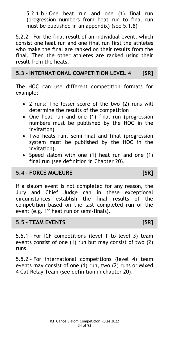5.2.1.b - One heat run and one (1) final run (progression numbers from heat run to final run must be published in an appendix) (see 5.1.8)

5.2.2 - For the final result of an individual event, which consist one heat run and one final run first the athletes who make the final are ranked on their results from the final. Then the other athletes are ranked using their result from the heats.

#### <span id="page-33-0"></span>**5.3 - INTERNATIONAL COMPETITION LEVEL 4 [SR]**

The HOC can use different competition formats for example:

- 2 runs: The lesser score of the two (2) runs will determine the results of the competition
- One heat run and one (1) final run (progression numbers must be published by the HOC in the invitation)
- Two heats run, semi-final and final (progression system must be published by the HOC in the invitation).
- Speed slalom with one (1) heat run and one (1) final run (see definition in Chapter 20).

#### <span id="page-33-1"></span>**5.4 - FORCE MAJEURE [SR]**

If a slalom event is not completed for any reason, the Jury and Chief Judge can in these exceptional circumstances establish the final results of the competition based on the last completed run of the event (e.g.  $1^{st}$  heat run or semi-finals).

#### <span id="page-33-2"></span>**5.5 - TEAM EVENTS [SR]**

5.5.1 - For ICF competitions (level 1 to level 3) team events consist of one (1) run but may consist of two (2) runs.

5.5.2 - For international competitions (level 4) team events may consist of one (1) run, two (2) runs or Mixed 4 Cat Relay Team (see definition in chapter 20).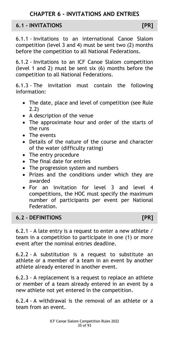#### <span id="page-34-1"></span><span id="page-34-0"></span>**6.1 - INVITATIONS [PR]**

6.1.1 - Invitations to an international Canoe Slalom competition (level 3 and 4) must be sent two (2) months before the competition to all National Federations.

6.1.2 - Invitations to an ICF Canoe Slalom competition (level 1 and 2) must be sent six (6) months before the competition to all National Federations.

6.1.3 - The invitation must contain the following information:

- The date, place and level of competition (see Rule 2.2)
- A description of the venue
- The approximate hour and order of the starts of the runs
- The events
- Details of the nature of the course and character of the water (difficulty rating)
- The entry procedure
- The final date for entries
- The progression system and numbers
- Prizes and the conditions under which they are awarded
- For an invitation for level 3 and level 4 competitions, the HOC must specify the maximum number of participants per event per National Federation.

#### <span id="page-34-2"></span>**6.2 - DEFINITIONS [PR]**

6.2.1 - A late entry is a request to enter a new athlete / team in a competition to participate in one (1) or more event after the nominal entries deadline.

6.2.2 - A substitution is a request to substitute an athlete or a member of a team in an event by another athlete already entered in another event.

6.2.3 - A replacement is a request to replace an athlete or member of a team already entered in an event by a new athlete not yet entered in the competition.

6.2.4 - A withdrawal is the removal of an athlete or a team from an event.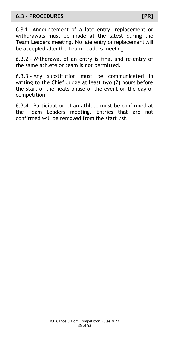#### <span id="page-35-0"></span>**6.3 - PROCEDURES [PR]**

6.3.1 - Announcement of a late entry, replacement or withdrawals must be made at the latest during the Team Leaders meeting. No late entry or replacement will be accepted after the Team Leaders meeting.

6.3.2 - Withdrawal of an entry is final and re-entry of the same athlete or team is not permitted.

6.3.3 - Any substitution must be communicated in writing to the Chief Judge at least two (2) hours before the start of the heats phase of the event on the day of competition.

6.3.4 - Participation of an athlete must be confirmed at the Team Leaders meeting. Entries that are not confirmed will be removed from the start list.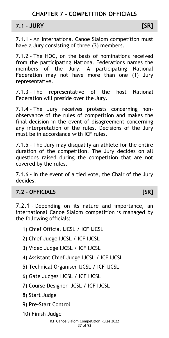**7.1 - JURY [SR]**

7.1.1 - An international Canoe Slalom competition must have a Jury consisting of three (3) members.

7.1.2 - The HOC, on the basis of nominations received from the participating National Federations names the members of the Jury. A participating National Federation may not have more than one (1) Jury representative.

7.1.3 - The representative of the host National Federation will preside over the Jury.

7.1.4 - The Jury receives protests concerning nonobservance of the rules of competition and makes the final decision in the event of disagreement concerning any interpretation of the rules. Decisions of the Jury must be in accordance with ICF rules.

7.1.5 - The Jury may disqualify an athlete for the entire duration of the competition. The Jury decides on all questions raised during the competition that are not covered by the rules.

7.1.6 - In the event of a tied vote, the Chair of the Jury decides.

# **7.2 - OFFICIALS [SR]**

7.2.1 - Depending on its nature and importance, an international Canoe Slalom competition is managed by the following officials:

- 1) Chief Official IJCSL / ICF IJCSL
- 2) Chief Judge IJCSL / ICF IJCSL
- 3) Video Judge IJCSL / ICF IJCSL
- 4) Assistant Chief Judge IJCSL / ICF IJCSL
- 5) Technical Organiser IJCSL / ICF IJCSL
- 6) Gate Judges IJCSL / ICF IJCSL
- 7) Course Designer IJCSL / ICF IJCSL
- 8) Start Judge
- 9) Pre-Start Control
- 10) Finish Judge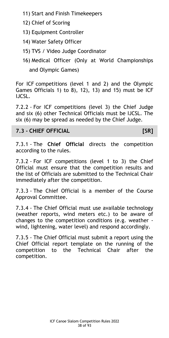- 11) Start and Finish Timekeepers
- 12) Chief of Scoring
- 13) Equipment Controller
- 14) Water Safety Officer
- 15) TVS / Video Judge Coordinator
- 16) Medical Officer (Only at World Championships and Olympic Games)

For ICF competitions (level 1 and 2) and the Olympic Games Officials 1) to 8), 12), 13) and 15) must be ICF IJCSL.

7.2.2 - For ICF competitions (level 3) the Chief Judge and six (6) other Technical Officials must be IJCSL. The six (6) may be spread as needed by the Chief Judge.

# **7.3 - CHIEF OFFICIAL [SR]**

7.3.1 - The **Chief Official** directs the competition according to the rules.

7.3.2 - For ICF competitions (level 1 to 3) the Chief Official must ensure that the competition results and the list of Officials are submitted to the Technical Chair immediately after the competition.

7.3.3 - The Chief Official is a member of the Course Approval Committee.

7.3.4 - The Chief Official must use available technology (weather reports, wind meters etc.) to be aware of changes to the competition conditions (e.g. weather wind, lightening, water level) and respond accordingly.

7.3.5 - The Chief Official must submit a report using the Chief Official report template on the running of the competition to the Technical Chair after the competition.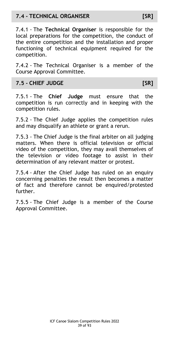# **7.4 - TECHNICAL ORGANISER [SR]**

7.4.1 - The **Technical Organiser** is responsible for the local preparations for the competition, the conduct of the entire competition and the installation and proper functioning of technical equipment required for the competition.

7.4.2 - The Technical Organiser is a member of the Course Approval Committee.

# **7.5 - CHIEF JUDGE [SR]**

7.5.1 - The **Chief Judge** must ensure that the competition is run correctly and in keeping with the competition rules.

7.5.2 - The Chief Judge applies the competition rules and may disqualify an athlete or grant a rerun.

7.5.3 - The Chief Judge is the final arbiter on all judging matters. When there is official television or official video of the competition, they may avail themselves of the television or video footage to assist in their determination of any relevant matter or protest.

7.5.4 - After the Chief Judge has ruled on an enquiry concerning penalties the result then becomes a matter of fact and therefore cannot be enquired/protested further.

7.5.5 - The Chief Judge is a member of the Course Approval Committee.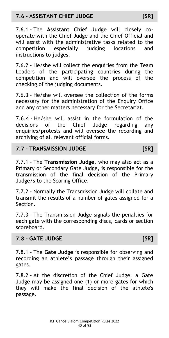7.6.1 - The **Assistant Chief Judge** will closely cooperate with the Chief Judge and the Chief Official and will assist with the administrative tasks related to the competition especially judging locations and instructions to judges.

7.6.2 - He/she will collect the enquiries from the Team Leaders of the participating countries during the competition and will oversee the process of the checking of the judging documents.

7.6.3 - He/she will oversee the collection of the forms necessary for the administration of the Enquiry Office and any other matters necessary for the Secretariat.

7.6.4 - He/she will assist in the formulation of the decisions of the Chief Judge regarding any enquiries/protests and will oversee the recording and archiving of all relevant official forms.

## **7.7 - TRANSMISSION JUDGE [SR]**

7.7.1 - The **Transmission Judge**, who may also act as a Primary or Secondary Gate Judge, is responsible for the transmission of the final decision of the Primary Judge/s to the Scoring Office.

7.7.2 - Normally the Transmission Judge will collate and transmit the results of a number of gates assigned for a Section.

7.7.3 - The Transmission Judge signals the penalties for each gate with the corresponding discs, cards or section scoreboard.

# **7.8 - GATE JUDGE [SR]**

7.8.1 - The **Gate Judge** is responsible for observing and recording an athlete's passage through their assigned gates.

7.8.2 - At the discretion of the Chief Judge, a Gate Judge may be assigned one (1) or more gates for which they will make the final decision of the athlete's passage.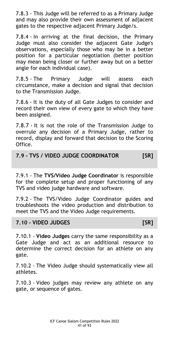7.8.3 - This Judge will be referred to as a Primary Judge and may also provide their own assessment of adjacent gates to the respective adjacent Primary Judge/s.

7.8.4 - In arriving at the final decision, the Primary Judge must also consider the adjacent Gate Judge's observations, especially those who may be in a better position for a particular negotiation (better position may mean being closer or further away but on a better angle for each individual case).

7.8.5 - The Primary Judge will assess each circumstance, make a decision and signal that decision to the Transmission Judge.

7.8.6 - It is the duty of all Gate Judges to consider and record their own view of every gate to which they have been assigned.

7.8.7 - It is not the role of the Transmission Judge to overrule any decision of a Primary Judge, rather to record, display and forward that decision to the Scoring Office.

**7.9 - TVS / VIDEO JUDGE COORDINATOR [SR]**

7.9.1 - The **TVS/Video Judge Coordinator** is responsible for the complete setup and proper functioning of any TVS and video judge hardware and software.

7.9.2 - The TVS/Video Judge Coordinator guides and troubleshoots the video production and distribution to meet the TVS and the Video Judge requirements.

### **7.10 - VIDEO JUDGES [SR]**

7.10.1 - **Video Judges** carry the same responsibility as a Gate Judge and act as an additional resource to determine the correct decision for an athlete on any gate.

7.10.2 - The Video Judge should systematically view all athletes.

7.10.3 - Video judges may review any athlete on any gate, or sequence of gates.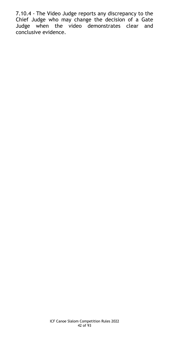7.10.4 - The Video Judge reports any discrepancy to the Chief Judge who may change the decision of a Gate Judge when the video demonstrates clear and conclusive evidence.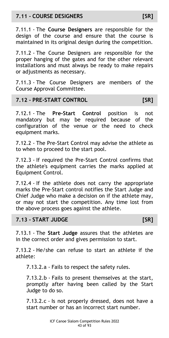# **7.11 - COURSE DESIGNERS [SR]**

7.11.1 - The **Course Designers** are responsible for the design of the course and ensure that the course is maintained in its original design during the competition.

7.11.2 - The Course Designers are responsible for the proper hanging of the gates and for the other relevant installations and must always be ready to make repairs or adjustments as necessary.

7.11.3 - The Course Designers are members of the Course Approval Committee.

### **7.12 - PRE-START CONTROL [SR]**

7.12.1 - The **Pre-Start Control** position is not mandatory but may be required because of the configuration of the venue or the need to check equipment marks.

7.12.2 - The Pre-Start Control may advise the athlete as to when to proceed to the start pool.

7.12.3 - If required the Pre-Start Control confirms that the athlete's equipment carries the marks applied at Equipment Control.

7.12.4 - If the athlete does not carry the appropriate marks the Pre-Start control notifies the Start Judge and Chief Judge who make a decision on if the athlete may, or may not start the competition. Any time lost from the above process goes against the athlete.

### **7.13 - START JUDGE [SR]**

7.13.1 - The **Start Judge** assures that the athletes are in the correct order and gives permission to start.

7.13.2 - He/she can refuse to start an athlete if the athlete:

7.13.2.a - Fails to respect the safety rules.

7.13.2.b - Fails to present themselves at the start, promptly after having been called by the Start Judge to do so.

7.13.2.c - Is not properly dressed, does not have a start number or has an incorrect start number.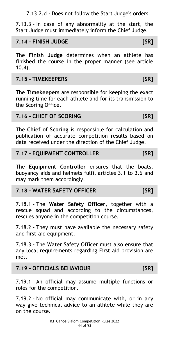7.13.2.d - Does not follow the Start Judge's orders.

7.13.3 - In case of any abnormality at the start, the Start Judge must immediately inform the Chief Judge.

## **7.14 - FINISH JUDGE [SR]**

The **Finish Judge** determines when an athlete has finished the course in the proper manner (see article 10.4).

# **7.15 - TIMEKEEPERS [SR]**

The **Timekeepers** are responsible for keeping the exact running time for each athlete and for its transmission to the Scoring Office.

## **7.16 - CHIEF OF SCORING [SR]**

The **Chief of Scoring** is responsible for calculation and publication of accurate competition results based on data received under the direction of the Chief Judge.

## **7.17 - EQUIPMENT CONTROLLER [SR]**

The **Equipment Controller** ensures that the boats, buoyancy aids and helmets fulfil articles 3.1 to 3.6 and may mark them accordingly.

## **7.18 - WATER SAFETY OFFICER [SR]**

7.18.1 - The **Water Safety Officer**, together with a rescue squad and according to the circumstances, rescues anyone in the competition course.

7.18.2 - They must have available the necessary safety and first-aid equipment.

7.18.3 - The Water Safety Officer must also ensure that any local requirements regarding First aid provision are met.

### **7.19 - OFFICIALS BEHAVIOUR [SR]**

7.19.1 - An official may assume multiple functions or roles for the competition.

7.19.2 - No official may communicate with, or in any way give technical advice to an athlete while they are on the course.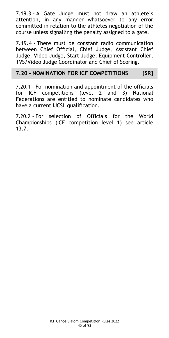7.19.3 - A Gate Judge must not draw an athlete's attention, in any manner whatsoever to any error committed in relation to the athletes negotiation of the course unless signalling the penalty assigned to a gate.

7.19.4 - There must be constant radio communication between Chief Official, Chief Judge, Assistant Chief Judge, Video Judge, Start Judge, Equipment Controller, TVS/Video Judge Coordinator and Chief of Scoring.

## **7.20 - NOMINATION FOR ICF COMPETITIONS [SR]**

7.20.1 - For nomination and appointment of the officials for ICF competitions (level 2 and 3) National Federations are entitled to nominate candidates who have a current IJCSL qualification.

7.20.2 - For selection of Officials for the World Championships (ICF competition level 1) see article 13.7.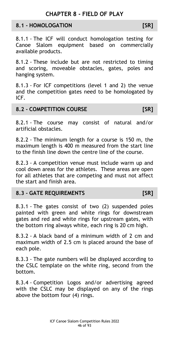# **CHAPTER 8 - FIELD OF PLAY**

### **8.1 - HOMOLOGATION [SR]**

8.1.1 - The ICF will conduct homologation testing for Canoe Slalom equipment based on commercially available products.

8.1.2 - These include but are not restricted to timing and scoring, moveable obstacles, gates, poles and hanging system.

8.1.3 - For ICF competitions (level 1 and 2) the venue and the competition gates need to be homologated by ICF.

#### **8.2 - COMPETITION COURSE [SR]**

8.2.1 - The course may consist of natural and/or artificial obstacles.

8.2.2 - The minimum length for a course is 150 m, the maximum length is 400 m measured from the start line to the finish line down the centre line of the course.

8.2.3 - A competition venue must include warm up and cool down areas for the athletes. These areas are open for all athletes that are competing and must not affect the start and finish area.

### **8.3 - GATE REQUIREMENTS [SR]**

8.3.1 - The gates consist of two (2) suspended poles painted with green and white rings for downstream gates and red and white rings for upstream gates, with the bottom ring always white, each ring is 20 cm high.

8.3.2 - A black band of a minimum width of 2 cm and maximum width of 2.5 cm is placed around the base of each pole.

8.3.3 - The gate numbers will be displayed according to the CSLC template on the white ring, second from the bottom.

8.3.4 - Competition Logos and/or advertising agreed with the CSLC may be displayed on any of the rings above the bottom four (4) rings.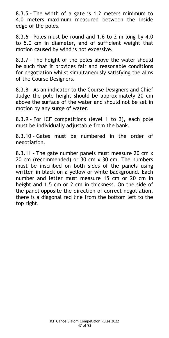8.3.5 - The width of a gate is 1.2 meters minimum to 4.0 meters maximum measured between the inside edge of the poles.

8.3.6 - Poles must be round and 1.6 to 2 m long by 4.0 to 5.0 cm in diameter, and of sufficient weight that motion caused by wind is not excessive.

8.3.7 - The height of the poles above the water should be such that it provides fair and reasonable conditions for negotiation whilst simultaneously satisfying the aims of the Course Designers.

8.3.8 - As an indicator to the Course Designers and Chief Judge the pole height should be approximately 20 cm above the surface of the water and should not be set in motion by any surge of water.

8.3.9 - For ICF competitions (level 1 to 3), each pole must be individually adjustable from the bank.

8.3.10 - Gates must be numbered in the order of negotiation.

8.3.11 - The gate number panels must measure 20 cm x 20 cm (recommended) or 30 cm x 30 cm. The numbers must be inscribed on both sides of the panels using written in black on a yellow or white background. Each number and letter must measure 15 cm or 20 cm in height and 1.5 cm or 2 cm in thickness. On the side of the panel opposite the direction of correct negotiation, there is a diagonal red line from the bottom left to the top right.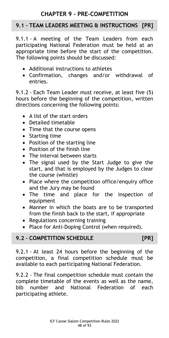# **CHAPTER 9 - PRE-COMPETITION**

# **9.1 - TEAM LEADERS MEETING & INSTRUCTIONS [PR]**

9.1.1 - A meeting of the Team Leaders from each participating National Federation must be held at an appropriate time before the start of the competition. The following points should be discussed:

- Additional instructions to athletes
- Confirmation, changes and/or withdrawal of entries.

9.1.2 - Each Team Leader must receive, at least five (5) hours before the beginning of the competition, written directions concerning the following points:

- A list of the start orders
- Detailed timetable
- Time that the course opens
- Starting time
- Position of the starting line
- Position of the finish line
- The interval between starts
- The signal used by the Start Judge to give the start, and that is employed by the Judges to clear the course (whistle)
- Place where the competition office/enquiry office and the Jury may be found
- The time and place for the inspection of equipment
- Manner in which the boats are to be transported from the finish back to the start, if appropriate
- Regulations concerning training
- Place for Anti-Doping Control (when required).

## **9.2 - COMPETITION SCHEDULE [PR]**

9.2.1 - At least 24 hours before the beginning of the competition, a final competition schedule must be available to each participating National Federation.

9.2.2 - The final competition schedule must contain the complete timetable of the events as well as the name, bib number and National Federation of each participating athlete.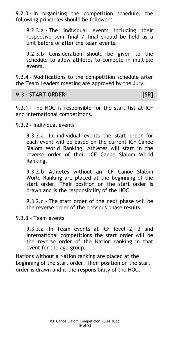9.2.3 - In organising the competition schedule, the following principles should be followed:

9.2.3.a - The individual events including their respective semi-final / final should be held as a unit before or after the team events.

9.2.3.b - Consideration should be given to the schedule to allow athletes to compete in multiple events.

9.2.4 - Modifications to the competition schedule after the Team Leaders meeting are approved by the Jury.

### **9.3 - START ORDER [SR]**

9.3.1 - The HOC is responsible for the start list at ICF and international competitions.

9.3.2 - Individual events

9.3.2.a - In individual events the start order for each event will be based on the current ICF Canoe Slalom World Ranking. Athletes will start in the reverse order of their ICF Canoe Slalom World Ranking.

9.3.2.b - Athletes without an ICF Canoe Slalom World Ranking are placed at the beginning of the start order. Their position on the start order is drawn and is the responsibility of the HOC.

9.3.2.c - The start order of the next phase will be the reverse order of the previous phase results.

### 9.3.3 - Team events

9.3.3.a - In Team events at ICF level 2, 3 and International competitions the start order will be the reverse order of the Nation ranking in that event for the age group.

Nations without a Nation ranking are placed at the beginning of the start order. Their position on the start order is drawn and is the responsibility of the HOC.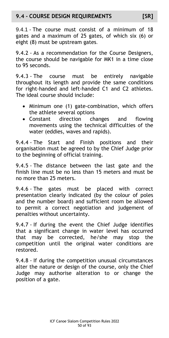# **9.4 - COURSE DESIGN REQUIREMENTS [SR]**

9.4.1 - The course must consist of a minimum of 18 gates and a maximum of 25 gates, of which six (6) or eight (8) must be upstream gates.

9.4.2 - As a recommendation for the Course Designers, the course should be navigable for MK1 in a time close to 95 seconds.

9.4.3 - The course must be entirely navigable throughout its length and provide the same conditions for right-handed and left-handed C1 and C2 athletes. The ideal course should include:

- Minimum one (1) gate-combination, which offers the athlete several options
- Constant direction changes and flowing movements using the technical difficulties of the water (eddies, waves and rapids).

9.4.4 - The Start and Finish positions and their organisation must be agreed to by the Chief Judge prior to the beginning of official training.

9.4.5 - The distance between the last gate and the finish line must be no less than 15 meters and must be no more than 25 meters.

9.4.6 - The gates must be placed with correct presentation clearly indicated (by the colour of poles and the number board) and sufficient room be allowed to permit a correct negotiation and judgement of penalties without uncertainty.

9.4.7 - If during the event the Chief Judge identifies that a significant change in water level has occurred that may be corrected, he/she may stop the competition until the original water conditions are restored.

9.4.8 - If during the competition unusual circumstances alter the nature or design of the course, only the Chief Judge may authorise alteration to or change the position of a gate.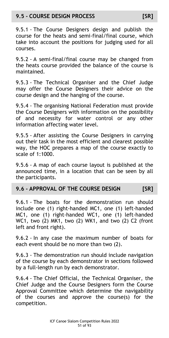# **9.5 - COURSE DESIGN PROCESS [SR]**

9.5.1 - The Course Designers design and publish the course for the heats and semi-final/final course, which take into account the positions for judging used for all courses.

9.5.2 - A semi-final/final course may be changed from the heats course provided the balance of the course is maintained.

9.5.3 - The Technical Organiser and the Chief Judge may offer the Course Designers their advice on the course design and the hanging of the course.

9.5.4 - The organising National Federation must provide the Course Designers with information on the possibility of and necessity for water control or any other information affecting water level.

9.5.5 - After assisting the Course Designers in carrying out their task in the most efficient and clearest possible way, the HOC prepares a map of the course exactly to scale of 1:1000.

9.5.6 - A map of each course layout is published at the announced time, in a location that can be seen by all the participants.

# **9.6 - APPROVAL OF THE COURSE DESIGN [SR]**

9.6.1 - The boats for the demonstration run should include one (1) right-handed MC1, one (1) left-handed MC1, one (1) right-handed WC1, one (1) left-handed WC1, two (2) MK1, two (2) WK1, and two (2) C2 (front left and front right).

9.6.2 - In any case the maximum number of boats for each event should be no more than two (2).

9.6.3 - The demonstration run should include navigation of the course by each demonstrator in sections followed by a full-length run by each demonstrator.

9.6.4 - The Chief Official, the Technical Organiser, the Chief Judge and the Course Designers form the Course Approval Committee which determine the navigability of the courses and approve the course(s) for the competition.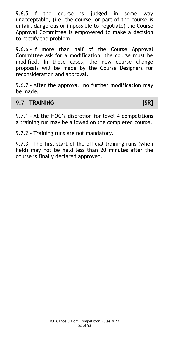9.6.5 - If the course is judged in some way unacceptable, (i.e. the course, or part of the course is unfair, dangerous or impossible to negotiate) the Course Approval Committee is empowered to make a decision to rectify the problem.

9.6.6 - If more than half of the Course Approval Committee ask for a modification, the course must be modified. In these cases, the new course change proposals will be made by the Course Designers for reconsideration and approval.

9.6.7 - After the approval, no further modification may be made.

### **9.7 - TRAINING [SR]**

9.7.1 - At the HOC's discretion for level 4 competitions a training run may be allowed on the completed course.

9.7.2 - Training runs are not mandatory.

9.7.3 - The first start of the official training runs (when held) may not be held less than 20 minutes after the course is finally declared approved.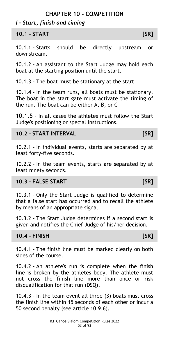### **CHAPTER 10 - COMPETITION**

# *I - Start, finish and timing*

**10.1 - START [SR]**

10.1.1 - Starts should be directly upstream or downstream.

10.1.2 - An assistant to the Start Judge may hold each boat at the starting position until the start.

10.1.3 - The boat must be stationary at the start

10.1.4 - In the team runs, all boats must be stationary. The boat in the start gate must activate the timing of the run. The boat can be either A, B, or C

10.1.5 - In all cases the athletes must follow the Start Judge's positioning or special instructions.

## **10.2 - START INTERVAL [SR]**

10.2.1 - In individual events, starts are separated by at least forty-five seconds.

10.2.2 - In the team events, starts are separated by at least ninety seconds.

# **10.3 - FALSE START [SR]**

10.3.1 - Only the Start Judge is qualified to determine that a false start has occurred and to recall the athlete by means of an appropriate signal.

10.3.2 - The Start Judge determines if a second start is given and notifies the Chief Judge of his/her decision.

## **10.4 - FINISH [SR]**

10.4.1 - The finish line must be marked clearly on both sides of the course.

10.4.2 - An athlete's run is complete when the finish line is broken by the athletes body. The athlete must not cross the finish line more than once or risk disqualification for that run (DSQ).

10.4.3 - In the team event all three (3) boats must cross the finish line within 15 seconds of each other or incur a 50 second penalty (see article 10.9.6).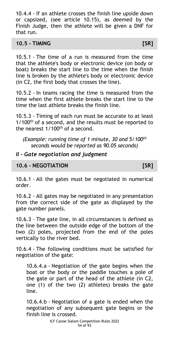10.4.4 - If an athlete crosses the finish line upside down or capsized, (see article 10.15), as deemed by the Finish Judge, then the athlete will be given a DNF for that run.

#### **10.5 - TIMING [SR]**

10.5.1 - The time of a run is measured from the time that the athlete's body or electronic device (on body or boat) breaks the start line to the time when the finish line is broken by the athlete's body or electronic device (in C2, the first body that crosses the line).

10.5.2 - In teams racing the time is measured from the time when the first athlete breaks the start line to the time the last athlete breaks the finish line.

10.5.3 - Timing of each run must be accurate to at least  $1/100$ <sup>th</sup> of a second, and the results must be reported to the nearest  $1/100^{th}$  of a second.

*(Example: running time of 1 minute, 30 and 5/100th seconds would be reported as 90.05 seconds)*

## *II - Gate negotiation and judgment*

### **10.6 - NEGOTIATION [SR]**

10.6.1 - All the gates must be negotiated in numerical order.

10.6.2 - All gates may be negotiated in any presentation from the correct side of the gate as displayed by the gate number panels.

10.6.3 - The gate line, in all circumstances is defined as the line between the outside edge of the bottom of the two (2) poles, projected from the end of the poles vertically to the river bed.

10.6.4 - The following conditions must be satisfied for negotiation of the gate:

10.6.4.a - Negotiation of the gate begins when the boat or the body or the paddle touches a pole of the gate or part of the head of the athlete (in C2, one (1) of the two (2) athletes) breaks the gate line.

10.6.4.b - Negotiation of a gate is ended when the negotiation of any subsequent gate begins or the finish line is crossed.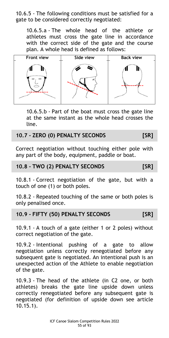10.6.5 - The following conditions must be satisfied for a gate to be considered correctly negotiated:

10.6.5.a - The whole head of the athlete or athletes must cross the gate line in accordance with the correct side of the gate and the course plan. A whole head is defined as follows:



10.6.5.b - Part of the boat must cross the gate line at the same instant as the whole head crosses the line.

## **10.7 - ZERO (0) PENALTY SECONDS [SR]**

Correct negotiation without touching either pole with any part of the body, equipment, paddle or boat.

#### **10.8 - TWO (2) PENALTY SECONDS [SR]**

10.8.1 - Correct negotiation of the gate, but with a touch of one (1) or both poles.

10.8.2 - Repeated touching of the same or both poles is only penalised once.

### **10.9 - FIFTY (50) PENALTY SECONDS [SR]**

10.9.1 - A touch of a gate (either 1 or 2 poles) without correct negotiation of the gate.

10.9.2 - Intentional pushing of a gate to allow negotiation unless correctly renegotiated before any subsequent gate is negotiated. An intentional push is an unexpected action of the Athlete to enable negotiation of the gate.

10.9.3 - The head of the athlete (in C2 one, or both athletes) breaks the gate line upside down unless correctly renegotiated before any subsequent gate is negotiated (for definition of upside down see article 10.15.1).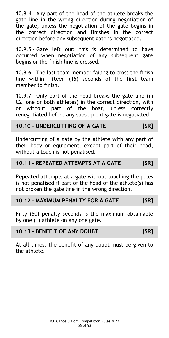10.9.4 - Any part of the head of the athlete breaks the gate line in the wrong direction during negotiation of the gate, unless the negotiation of the gate begins in the correct direction and finishes in the correct direction before any subsequent gate is negotiated.

10.9.5 - Gate left out: this is determined to have occurred when negotiation of any subsequent gate begins or the finish line is crossed.

10.9.6 - The last team member failing to cross the finish line within fifteen (15) seconds of the first team member to finish.

10.9.7 - Only part of the head breaks the gate line (in C2, one or both athletes) in the correct direction, with or without part of the boat, unless correctly renegotiated before any subsequent gate is negotiated.

### **10.10 - UNDERCUTTING OF A GATE [SR]**

Undercutting of a gate by the athlete with any part of their body or equipment, except part of their head, without a touch is not penalised.

### **10.11 - REPEATED ATTEMPTS AT A GATE [SR]**

Repeated attempts at a gate without touching the poles is not penalised if part of the head of the athlete(s) has not broken the gate line in the wrong direction.

### **10.12 - MAXIMUM PENALTY FOR A GATE [SR]**

Fifty (50) penalty seconds is the maximum obtainable by one (1) athlete on any one gate.

### **10.13 - BENEFIT OF ANY DOUBT [SR]**

At all times, the benefit of any doubt must be given to the athlete.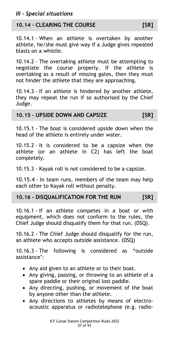# **10.14 - CLEARING THE COURSE [SR]**

10.14.1 - When an athlete is overtaken by another athlete, he/she must give way if a Judge gives repeated blasts on a whistle.

10.14.2 - The overtaking athlete must be attempting to negotiate the course properly. If the athlete is overtaking as a result of missing gates, then they must not hinder the athlete that they are approaching.

10.14.3 - If an athlete is hindered by another athlete, they may repeat the run if so authorised by the Chief Judge.

### **10.15 - UPSIDE DOWN AND CAPSIZE [SR]**

10.15.1 - The boat is considered upside down when the head of the athlete is entirely under water.

10.15.2 - It is considered to be a capsize when the athlete (or an athlete in C2) has left the boat completely.

10.15.3 - Kayak roll is not considered to be a capsize.

10.15.4 - In team runs, members of the team may help each other to Kayak roll without penalty.

# **10.16 - DISQUALIFICATION FOR THE RUN [SR]**

10.16.1 - If an athlete competes in a boat or with equipment, which does not conform to the rules, the Chief Judge should disqualify them for that run. (DSQ).

10.16.2 - The Chief Judge should disqualify for the run, an athlete who accepts outside assistance. (DSQ)

10.16.3 - The following is considered as "outside assistance":

- Any aid given to an athlete or to their boat.
- Any giving, passing, or throwing to an athlete of a spare paddle or their original lost paddle.
- Any directing, pushing, or movement of the boat by anyone other than the athlete.
- Any directions to athletes by means of electroacoustic apparatus or radiotelephone (e.g. radio-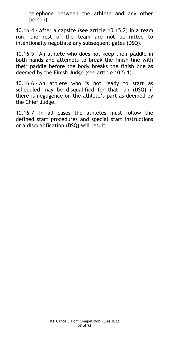telephone between the athlete and any other person).

10.16.4 - After a capsize (see article 10.15.2) in a team run, the rest of the team are not permitted to intentionally negotiate any subsequent gates **(**DSQ).

10.16.5 - An athlete who does not keep their paddle in both hands and attempts to break the finish line with their paddle before the body breaks the finish line as deemed by the Finish Judge (see article 10.5.1).

10.16.6 - An athlete who is not ready to start as scheduled may be disqualified for that run (DSQ) if there is negligence on the athlete's part as deemed by the Chief Judge.

10.16.7 - In all cases the athletes must follow the defined start procedures and special start instructions or a disqualification (DSQ) will result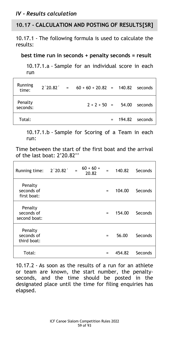## *IV - Results calculation*

# **10.17 - CALCULATION AND POSTING OF RESULTS[SR]**

10.17.1 - The following formula is used to calculate the results:

**best time run in seconds + penalty seconds = result**

10.17.1.a - Sample for an individual score in each run

| Running<br>time:    |  | $2'20.82' = 60 + 60 + 20.82 = 140.82$ seconds |  |                    |
|---------------------|--|-----------------------------------------------|--|--------------------|
| Penalty<br>seconds: |  | $2 + 2 + 50 = 54.00$ seconds                  |  |                    |
| Total:              |  |                                               |  | $= 194.82$ seconds |

10.17.1.b - Sample for Scoring of a Team in each run:

Time between the start of the first boat and the arrival of the last boat: 2'20.82''

| Running time: 2'20.82'                |  | $60 + 60 +$<br>20.82 | $=$ $\sim$ | 140.82 | Seconds |
|---------------------------------------|--|----------------------|------------|--------|---------|
| Penalty<br>seconds of<br>first boat:  |  |                      | $=$        | 104.00 | Seconds |
| Penalty<br>seconds of<br>second boat: |  |                      | $=$        | 154.00 | Seconds |
| Penalty<br>seconds of<br>third boat:  |  |                      | $=$        | 56.00  | Seconds |
| Total:                                |  |                      |            | 454.82 | Seconds |

10.17.2 - As soon as the results of a run for an athlete or team are known, the start number, the penaltyseconds, and the time should be posted in the designated place until the time for filing enquiries has elapsed.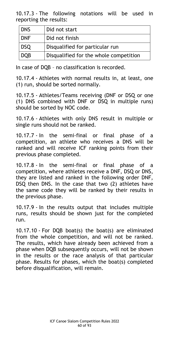10.17.3 - The following notations will be used in reporting the results:

| <b>DNS</b> | Did not start                          |
|------------|----------------------------------------|
| <b>DNF</b> | Did not finish                         |
| <b>DSQ</b> | Disqualified for particular run        |
| <b>DQB</b> | Disqualified for the whole competition |

In case of DQB – no classification is recorded.

10.17.4 - Athletes with normal results in, at least, one (1) run, should be sorted normally.

10.17.5 - Athletes/Teams receiving (DNF or DSQ or one (1) DNS combined with DNF or DSQ in multiple runs) should be sorted by NOC code.

10.17.6 - Athletes with only DNS result in multiple or single runs should not be ranked.

10.17.7 - In the semi-final or final phase of a competition, an athlete who receives a DNS will be ranked and will receive ICF ranking points from their previous phase completed.

10.17.8 - In the semi-final or final phase of a competition, where athletes receive a DNF, DSQ or DNS, they are listed and ranked in the following order DNF, DSQ then DNS. In the case that two (2) athletes have the same code they will be ranked by their results in the previous phase.

10.17.9 - In the results output that includes multiple runs, results should be shown just for the completed run.

10.17.10 - For DQB boat(s) the boat(s) are eliminated from the whole competition, and will not be ranked. The results, which have already been achieved from a phase when DQB subsequently occurs, will not be shown in the results or the race analysis of that particular phase. Results for phases, which the boat(s) completed before disqualification, will remain.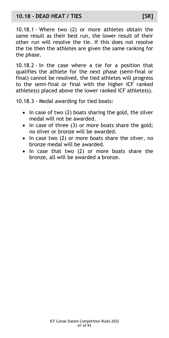### **10.18 - DEAD HEAT / TIES [SR]**

10.18.1 - Where two (2) or more athletes obtain the same result as their best run, the lower result of their other run will resolve the tie. If this does not resolve the tie then the athletes are given the same ranking for the phase.

10.18.2 - In the case where a tie for a position that qualifies the athlete for the next phase (semi-final or final) cannot be resolved, the tied athletes will progress to the semi-final or final with the higher ICF ranked athlete(s) placed above the lower ranked ICF athlete(s).

10.18.3 - Medal awarding for tied boats:

- $\bullet$  In case of two (2) boats sharing the gold, the silver medal will not be awarded.
- In case of three (3) or more boats share the gold; no silver or bronze will be awarded.
- In case two (2) or more boats share the silver, no bronze medal will be awarded.
- In case that two (2) or more boats share the bronze, all will be awarded a bronze.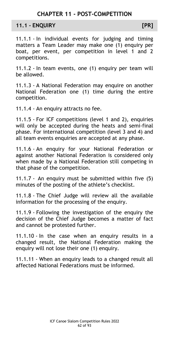# **CHAPTER 11 - POST-COMPETITION**

#### **11.1 - ENQUIRY [PR]**

11.1.1 - In individual events for judging and timing matters a Team Leader may make one (1) enquiry per boat, per event, per competition in level 1 and 2 competitions.

11.1.2 - In team events, one (1) enquiry per team will be allowed.

11.1.3 - A National Federation may enquire on another National Federation one (1) time during the entire competition.

11.1.4 - An enquiry attracts no fee.

11.1.5 - For ICF competitions (level 1 and 2), enquiries will only be accepted during the heats and semi-final phase. For international competition (level 3 and 4) and all team events enquiries are accepted at any phase.

11.1.6 - An enquiry for your National Federation or against another National Federation is considered only when made by a National Federation still competing in that phase of the competition.

11.1.7 - An enquiry must be submitted within five (5) minutes of the posting of the athlete's checklist.

11.1.8 - The Chief Judge will review all the available information for the processing of the enquiry.

11.1.9 - Following the investigation of the enquiry the decision of the Chief Judge becomes a matter of fact and cannot be protested further.

11.1.10 - In the case when an enquiry results in a changed result, the National Federation making the enquiry will not lose their one (1) enquiry.

11.1.11 - When an enquiry leads to a changed result all affected National Federations must be informed.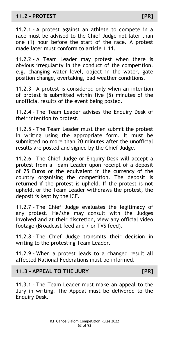## **11.2 - PROTEST [PR]**

11.2.1 - A protest against an athlete to compete in a race must be advised to the Chief Judge not later than one (1) hour before the start of the race. A protest made later must conform to article 1.11.

11.2.2 - A Team Leader may protest when there is obvious irregularity in the conduct of the competition. e.g. changing water level, object in the water, gate position change, overtaking, bad weather conditions.

11.2.3 - A protest is considered only when an intention of protest is submitted within five (5) minutes of the unofficial results of the event being posted.

11.2.4 - The Team Leader advises the Enquiry Desk of their intention to protest.

11.2.5 - The Team Leader must then submit the protest in writing using the appropriate form. It must be submitted no more than 20 minutes after the unofficial results are posted and signed by the Chief Judge.

11.2.6 - The Chief Judge or Enquiry Desk will accept a protest from a Team Leader upon receipt of a deposit of 75 Euros or the equivalent in the currency of the country organising the competition. The deposit is returned if the protest is upheld. If the protest is not upheld, or the Team Leader withdraws the protest, the deposit is kept by the ICF.

11.2.7 - The Chief Judge evaluates the legitimacy of any protest. He/she may consult with the Judges involved and at their discretion, view any official video footage (Broadcast feed and / or TVS feed).

11.2.8 - The Chief Judge transmits their decision in writing to the protesting Team Leader.

11.2.9 - When a protest leads to a changed result all affected National Federations must be informed.

### **11.3 - APPEAL TO THE JURY [PR]**

11.3.1 - The Team Leader must make an appeal to the Jury in writing. The Appeal must be delivered to the Enquiry Desk.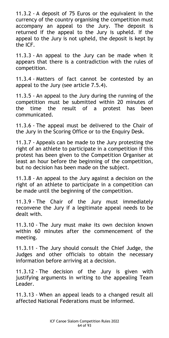11.3.2 - A deposit of 75 Euros or the equivalent in the currency of the country organising the competition must accompany an appeal to the Jury. The deposit is returned if the appeal to the Jury is upheld. If the appeal to the Jury is not upheld, the deposit is kept by the ICF.

11.3.3 - An appeal to the Jury can be made when it appears that there is a contradiction with the rules of competition.

11.3.4 - Matters of fact cannot be contested by an appeal to the Jury (see article 7.5.4).

11.3.5 - An appeal to the Jury during the running of the competition must be submitted within 20 minutes of the time the result of a protest has been communicated.

11.3.6 - The appeal must be delivered to the Chair of the Jury in the Scoring Office or to the Enquiry Desk.

11.3.7 - Appeals can be made to the Jury protesting the right of an athlete to participate in a competition if this protest has been given to the Competition Organiser at least an hour before the beginning of the competition, but no decision has been made on the subject.

11.3.8 - An appeal to the Jury against a decision on the right of an athlete to participate in a competition can be made until the beginning of the competition.

11.3.9 - The Chair of the Jury must immediately reconvene the Jury if a legitimate appeal needs to be dealt with.

11.3.10 - The Jury must make its own decision known within 60 minutes after the commencement of the meeting.

11.3.11 - The Jury should consult the Chief Judge, the Judges and other officials to obtain the necessary information before arriving at a decision.

11.3.12 - The decision of the Jury is given with justifying arguments in writing to the appealing Team Leader.

11.3.13 - When an appeal leads to a changed result all affected National Federations must be informed.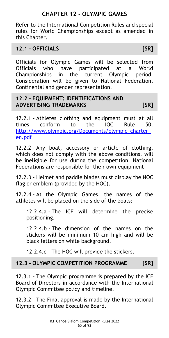# **CHAPTER 12 - OLYMPIC GAMES**

Refer to the International Competition Rules and special rules for World Championships except as amended in this Chapter.

## **12.1 - OFFICIALS [SR]**

Officials for Olympic Games will be selected from Officials who have participated at a World Championships in the current Olympic period. Consideration will be given to National Federation, Continental and gender representation.

## **12.2 - EQUIPMENT: IDENTIFICATIONS AND ADVERTISING TRADEMARKS [SR]**

12.2.1 - Athletes clothing and equipment must at all times conform to the IOC Rule 50. http://www.olympic.org/Documents/olympic\_charter [en.pdf](http://www.olympic.org/Documents/olympic_charter_en.pdf)

12.2.2 - Any boat, accessory or article of clothing, which does not comply with the above conditions, will be ineligible for use during the competition. National Federations are responsible for their own equipment

12.2.3 - Helmet and paddle blades must display the NOC flag or emblem (provided by the HOC).

12.2.4 - At the Olympic Games, the names of the athletes will be placed on the side of the boats:

12.2.4.a - The ICF will determine the precise positioning.

12.2.4.b - The dimension of the names on the stickers will be minimum 10 cm high and will be black letters on white background.

12.2.4.c - The HOC will provide the stickers.

# **12.3 - OLYMPIC COMPETITION PROGRAMME [SR]**

12.3.1 - The Olympic programme is prepared by the ICF Board of Directors in accordance with the International Olympic Committee policy and timeline.

12.3.2 - The Final approval is made by the International Olympic Committee Executive Board.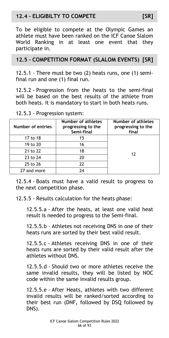# **12.4 - ELIGIBILTY TO COMPETE [SR]**

To be eligible to compete at the Olympic Games an athlete must have been ranked on the ICF Canoe Slalom World Ranking in at least one event that they participate in.

## **12.5 - COMPETITION FORMAT (SLALOM EVENTS) [SR]**

12.5.1 - There must be two (2) heats runs, one (1) semifinal run and one (1) final run.

12.5.2 - Progression from the heats to the semi-final will be based on the best results of the athlete from both heats. It is mandatory to start in both heats runs.

| Number of entries | Number of athletes<br>progressing to the<br>Semi-final | <b>Number of athletes</b><br>progressing to the<br>final |
|-------------------|--------------------------------------------------------|----------------------------------------------------------|
| 17 to 18          | 15                                                     |                                                          |
| 19 to 20          | 16                                                     |                                                          |
| 21 to 22          | 18                                                     | 12                                                       |
| 23 to 24          | 20                                                     |                                                          |
| 25 to 26          | 22                                                     |                                                          |
| 27 and more       | 74                                                     |                                                          |

12.5.3 - Progression system:

12.5.4 - Boats must have a valid result to progress to the next competition phase.

12.5.5 - Results calculation for the heats phase:

12.5.5.a - After the heats, at least one valid heat result is needed to progress to the Semi-final.

12.5.5.b - Athletes not receiving DNS in one of their heats runs are sorted by their best valid result.

12.5.5.c - Athletes receiving DNS in one of their heats runs are sorted by their valid result after the athletes without DNS.

12.5.5.d - Should two or more athletes receive the same invalid results, they will be listed by NOC code within the same invalid results group.

12.5.5.e - After Heats, athletes with two different invalid results will be ranked/sorted according to their best run (DNF, followed by DSQ followed by DNS).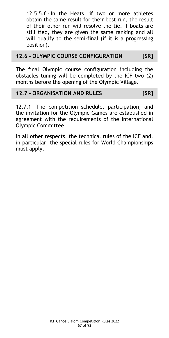12.5.5.f - In the Heats, if two or more athletes obtain the same result for their best run, the result of their other run will resolve the tie. If boats are still tied, they are given the same ranking and all will qualify to the semi-final (if it is a progressing position).

## **12.6 - OLYMPIC COURSE CONFIGURATION [SR]**

The final Olympic course configuration including the obstacles tuning will be completed by the ICF two (2) months before the opening of the Olympic Village.

## **12.7 - ORGANISATION AND RULES [SR]**

12.7.1 - The competition schedule, participation, and the invitation for the Olympic Games are established in agreement with the requirements of the International Olympic Committee.

In all other respects, the technical rules of the ICF and, in particular, the special rules for World Championships must apply.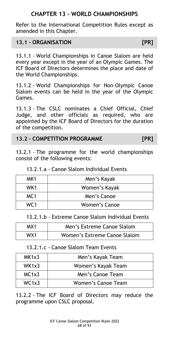# **CHAPTER 13 - WORLD CHAMPIONSHIPS**

Refer to the International Competition Rules except as amended in this Chapter.

## **13.1 - ORGANISATION [PR]**

13.1.1 - World Championships in Canoe Slalom are held every year except in the year of an Olympic Games. The ICF Board of Directors determines the place and date of the World Championships.

13.1.2 - World Championships for Non-Olympic Canoe Slalom events can be held in the year of the Olympic Games.

13.1.3 - The CSLC nominates a Chief Official, Chief Judge, and other officials as required, who are appointed by the ICF Board of Directors for the duration of the competition.

## **13.2 - COMPETITION PROGRAMME [PR]**

13.2.1 - The programme for the world championships consist of the following events:

|  |  |  |  |  |  | 13.2.1.a - Canoe Slalom Individual Events |
|--|--|--|--|--|--|-------------------------------------------|
|  |  |  |  |  |  |                                           |

| MK1             | Men's Kayak   |
|-----------------|---------------|
| WK1             | Women's Kayak |
| MC <sub>1</sub> | Men's Canoe   |
| WC 1            | Women's Canoe |

13.2.1.b - Extreme Canoe Slalom Individual Events

| MX1 | Men's Extreme Canoe Slalom   |
|-----|------------------------------|
| WX1 | Women's Extreme Canoe Slalom |

### 13.2.1.c - Canoe Slalom Team Events

| MK1x3 | Men's Kayak Team   |
|-------|--------------------|
| WK1x3 | Women's Kayak Team |
| MC1x3 | Men's Canoe Team   |
| WC1x3 | Women's Canoe Team |

13.2.2 - The ICF Board of Directors may reduce the programme upon CSLC proposal.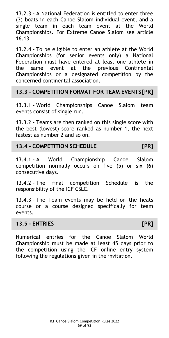13.2.3 - A National Federation is entitled to enter three (3) boats in each Canoe Slalom individual event, and a single team in each team event at the World Championships. For Extreme Canoe Slalom see article 16.13.

13.2.4 - To be eligible to enter an athlete at the World Championships (for senior events only) a National Federation must have entered at least one athlete in the same event at the previous Continental Championships or a designated competition by the concerned continental association.

### **13.3 - COMPETITION FORMAT FOR TEAM EVENTS [PR]**

13.3.1 - World Championships Canoe Slalom team events consist of single run.

13.3.2 - Teams are then ranked on this single score with the best (lowest) score ranked as number 1, the next fastest as number 2 and so on.

## **13.4 - COMPETITION SCHEDULE [PR]**

13.4.1 - A World Championship Canoe Slalom competition normally occurs on five (5) or six (6) consecutive days.

13.4.2 - The final competition Schedule is the responsibility of the ICF CSLC.

13.4.3 - The Team events may be held on the heats course or a course designed specifically for team events.

### **13.5 - ENTRIES [PR]**

Numerical entries for the Canoe Slalom World Championship must be made at least 45 days prior to the competition using the ICF online entry system following the regulations given in the invitation.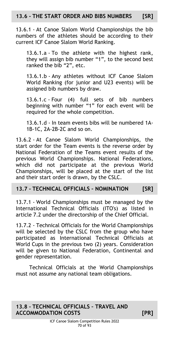## **13.6 - THE START ORDER AND BIBS NUMBERS [SR]**

13.6.1 - At Canoe Slalom World Championships the bib numbers of the athletes should be according to their current ICF Canoe Slalom World Ranking.

13.6.1.a - To the athlete with the highest rank, they will assign bib number "1", to the second best ranked the bib "2", etc.

13.6.1.b - Any athletes without ICF Canoe Slalom World Ranking (for junior and U23 events) will be assigned bib numbers by draw.

13.6.1.c - Four (4) full sets of bib numbers beginning with number "1" for each event will be required for the whole competition.

13.6.1.d - In team events bibs will be numbered 1A-1B-1C, 2A-2B-2C and so on.

13.6.2 - At Canoe Slalom World Championships, the start order for the Team events is the reverse order by National Federation of the Teams event results of the previous World Championships. National Federations, which did not participate at the previous World Championships, will be placed at the start of the list and their start order is drawn, by the CSLC.

## **13.7 - TECHNICAL OFFICIALS – NOMINATION [SR]**

13.7.1 - World Championships must be managed by the International Technical Officials (ITO's) as listed in article 7.2 under the directorship of the Chief Official.

13.7.2 - Technical Officials for the World Championships will be selected by the CSLC from the group who have participated as International Technical Officials at World Cups in the previous two (2) years. Consideration will be given to National Federation, Continental and gender representation.

Technical Officials at the World Championships must not assume any national team obligations.

# **13.8 - TECHNICAL OFFICIALS – TRAVEL AND ACCOMMODATION COSTS [PR]**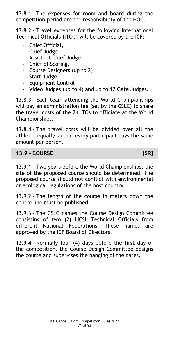13.8.1 - The expenses for room and board during the competition period are the responsibility of the HOC.

13.8.2 - Travel expenses for the following International Technical Officials (ITO's) will be covered by the ICF:

- Chief Official,
- Chief Judge,
- Assistant Chief Judge,
- Chief of Scoring,
- Course Designers (up to 2)
- Start Judge
- Equipment Control
- Video Judges (up to 4) and up to 12 Gate Judges.

13.8.3 - Each team attending the World Championships will pay an administration fee (set by the CSLC) to share the travel costs of the 24 ITOs to officiate at the World Championships.

13.8.4 - The travel costs will be divided over all the athletes equally so that every participant pays the same amount per person.

# **13.9 - COURSE [SR]**

13.9.1 - Two years before the World Championships, the site of the proposed course should be determined. The proposed course should not conflict with environmental or ecological regulations of the host country.

13.9.2 - The length of the course in meters down the centre line must be published.

13.9.3 - The CSLC names the Course Design Committee consisting of two (2) IJCSL Technical Officials from different National Federations. These names are approved by the ICF Board of Directors.

13.9.4 - Normally four (4) days before the first day of the competition, the Course Design Committee designs the course and supervises the hanging of the gates.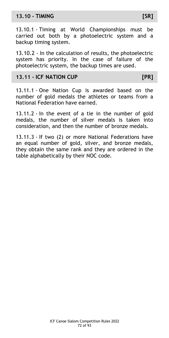## **13.10 - TIMING [SR]**

13.10.1 - Timing at World Championships must be carried out both by a photoelectric system and a backup timing system.

13.10.2 - In the calculation of results, the photoelectric system has priority. In the case of failure of the photoelectric system, the backup times are used.

### **13.11 - ICF NATION CUP [PR]**

13.11.1 - One Nation Cup is awarded based on the number of gold medals the athletes or teams from a National Federation have earned.

13.11.2 - In the event of a tie in the number of gold medals, the number of silver medals is taken into consideration, and then the number of bronze medals.

13.11.3 - If two (2) or more National Federations have an equal number of gold, silver, and bronze medals, they obtain the same rank and they are ordered in the table alphabetically by their NOC code.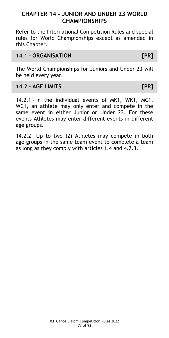# **CHAPTER 14 - JUNIOR AND UNDER 23 WORLD CHAMPIONSHIPS**

Refer to the International Competition Rules and special rules for World Championships except as amended in this Chapter.

#### **14.1 - ORGANISATION [PR]**

The World Championships for Juniors and Under 23 will be held every year.

## **14.2 - AGE LIMITS [PR]**

14.2.1 - In the individual events of MK1, WK1, MC1, WC1, an athlete may only enter and compete in the same event in either Junior or Under 23. For these events Athletes may enter different events in different age groups.

14.2.2 - Up to two (2) Athletes may compete in both age groups in the same team event to complete a team as long as they comply with articles 1.4 and 4.2.3.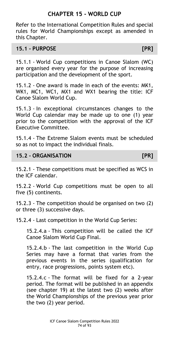# **CHAPTER 15 - WORLD CUP**

Refer to the International Competition Rules and special rules for World Championships except as amended in this Chapter.

## **15.1 - PURPOSE [PR]**

15.1.1 - World Cup competitions in Canoe Slalom (WC) are organised every year for the purpose of increasing participation and the development of the sport.

15.1.2 - One award is made in each of the events: MK1, WK1, MC1, WC1, MX1 and WX1 bearing the title: ICF Canoe Slalom World Cup.

15.1.3 - In exceptional circumstances changes to the World Cup calendar may be made up to one (1) year prior to the competition with the approval of the ICF Executive Committee.

15.1.4 - The Extreme Slalom events must be scheduled so as not to impact the individual finals.

### **15.2 - ORGANISATION [PR]**

15.2.1 - These competitions must be specified as WCS in the ICF calendar.

15.2.2 - World Cup competitions must be open to all five (5) continents.

15.2.3 - The competition should be organised on two (2) or three (3) successive days.

15.2.4 - Last competition in the World Cup Series:

15.2.4.a - This competition will be called the ICF Canoe Slalom World Cup Final.

15.2.4.b - The last competition in the World Cup Series may have a format that varies from the previous events in the series (qualification for entry, race progressions, points system etc).

15.2.4.c - The format will be fixed for a 2-year period. The format will be published in an appendix (see chapter 19) at the latest two (2) weeks after the World Championships of the previous year prior the two (2) year period.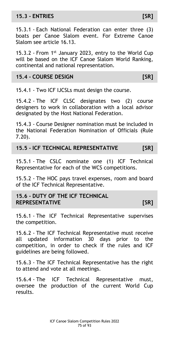# **15.3 - ENTRIES [SR]**

15.3.1 - Each National Federation can enter three (3) boats per Canoe Slalom event. For Extreme Canoe Slalom see article 16.13.

15.3.2 - From 1<sup>st</sup> January 2023, entry to the World Cup will be based on the ICF Canoe Slalom World Ranking, continental and national representation.

## **15.4 - COURSE DESIGN [SR]**

15.4.1 - Two ICF IJCSLs must design the course.

15.4.2 - The ICF CLSC designates two (2) course designers to work in collaboration with a local advisor designated by the Host National Federation.

15.4.3 - Course Designer nomination must be included in the National Federation Nomination of Officials (Rule 7.20).

**15.5 - ICF TECHNICAL REPRESENTATIVE [SR]**

15.5.1 - The CSLC nominate one (1) ICF Technical Representative for each of the WCS competitions.

15.5.2 - The HOC pays travel expenses, room and board of the ICF Technical Representative.

**15.6 - DUTY OF THE ICF TECHNICAL REPRESENTATIVE [SR]**

15.6.1 - The ICF Technical Representative supervises the competition.

15.6.2 - The ICF Technical Representative must receive all updated information 30 days prior to the competition, in order to check if the rules and ICF guidelines are being followed.

15.6.3 - The ICF Technical Representative has the right to attend and vote at all meetings.

15.6.4 - The ICF Technical Representative must, oversee the production of the current World Cup results.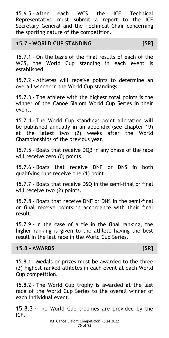15.6.5 - After each WCS the ICF Technical Representative must submit a report to the ICF Secretary General and the Technical Chair concerning the sporting nature of the competition.

#### **15.7 - WORLD CUP STANDING [SR]**

15.7.1 - On the basis of the final results of each of the WCS, the World Cup standing in each event is established.

15.7.2 - Athletes will receive points to determine an overall winner in the World Cup standings.

15.7.3 - The athlete with the highest total points is the winner of the Canoe Slalom World Cup Series in their event.

15.7.4 - The World Cup standings point allocation will be published annually in an appendix (see chapter 19) at the latest two (2) weeks after the World Championships of the previous year.

15.7.5 - Boats that receive DQB in any phase of the race will receive zero (0) points.

15.7.6 - Boats that receive DNF or DNS in both qualifying runs receive one (1) point.

15.7.7 - Boats that receive DSQ in the semi-final or final will receive two (2) points.

15.7.8 - Boats that receive DNF or DNS in the semi-final or final receive points in accordance with their final result.

15.7.9 - In the case of a tie in the final ranking, the higher ranking is given to the athlete having the best result in the last race in the World Cup Series.

### **15.8 - AWARDS [SR]**

15.8.1 - Medals or prizes must be awarded to the three (3) highest ranked athletes in each event at each World Cup competition.

15.8.2 - The World Cup trophy is awarded at the last race of the World Cup Series to the overall winner of each individual event.

15.8.3 - The World Cup trophies are provided by the ICF.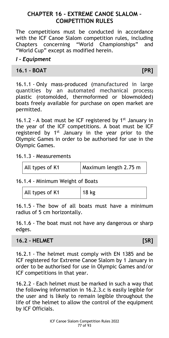# **CHAPTER 16 - EXTREME CANOE SLALOM – COMPETITION RULES**

The competitions must be conducted in accordance with the ICF Canoe Slalom competition rules, including Chapters concerning "World Championships" and "World Cup" except as modified herein.

### *I - Equipment*

## **16.1 - BOAT [PR]**

16.1.1 - Only mass-produced (manufactured in large quantities by an automated mechanical process**)**  plastic (rotomolded, thermoformed or blowmolded) boats freely available for purchase on open market are permitted.

16.1.2 - A boat must be ICF registered by  $1<sup>st</sup>$  January in the year of the ICF competitions. A boat must be ICF registered by  $1<sup>st</sup>$  January in the year prior to the Olympic Games in order to be authorised for use in the Olympic Games.

16.1.3 - Measurements

| All types of K1 | Maximum length 2.75 m |
|-----------------|-----------------------|
|                 |                       |

16.1.4 - Minimum Weight of Boats

| All types of K1 | $ 18 \text{ kg} $ |
|-----------------|-------------------|
|                 |                   |

16.1.5 - The bow of all boats must have a minimum radius of 5 cm horizontally.

16.1.6 - The boat must not have any dangerous or sharp edges.

### **16.2 - HELMET [SR]**

16.2.1 - The helmet must comply with EN 1385 and be ICF registered for Extreme Canoe Slalom by 1 January in order to be authorised for use in Olympic Games and/or ICF competitions in that year.

16.2.2 - Each helmet must be marked in such a way that the following information in 16.2.3.c is easily legible for the user and is likely to remain legible throughout the life of the helmet to allow the control of the equipment by ICF Officials.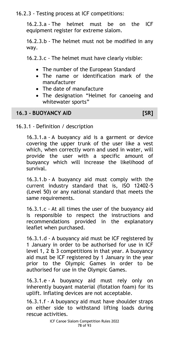16.2.3 - Testing process at ICF competitions:

16.2.3.a - The helmet must be on the ICF equipment register for extreme slalom.

16.2.3.b - The helmet must not be modified in any way.

16.2.3.c - The helmet must have clearly visible:

- The number of the European Standard
- The name or identification mark of the manufacturer
- The date of manufacture
- The designation "Helmet for canoeing and whitewater sports"

# **16.3 - BUOYANCY AID [SR]**

16.3.1 - Definition / description

16.3.1.a - A buoyancy aid is a garment or device covering the upper trunk of the user like a vest which, when correctly worn and used in water, will provide the user with a specific amount of buoyancy which will increase the likelihood of survival.

16.3.1.b - A buoyancy aid must comply with the current industry standard that is, ISO 12402-5 (Level 50) or any national standard that meets the same requirements.

16.3.1.c - At all times the user of the buoyancy aid is responsible to respect the instructions and recommendations provided in the explanatory leaflet when purchased.

16.3.1.d - A buoyancy aid must be ICF registered by 1 January in order to be authorised for use in ICF level 1, 2  $\&$  3 competitions in that year. A buoyancy aid must be ICF registered by 1 January in the year prior to the Olympic Games in order to be authorised for use in the Olympic Games.

16.3.1.e - A buoyancy aid must rely only on inherently buoyant material (flotation foam) for its uplift. Inflating devices are not acceptable.

16.3.1.f - A buoyancy aid must have shoulder straps on either side to withstand lifting loads during rescue activities.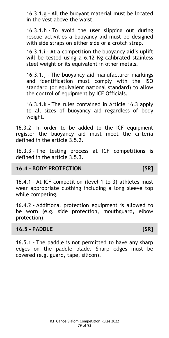16.3.1.g - All the buoyant material must be located in the vest above the waist.

16.3.1.h - To avoid the user slipping out during rescue activities a buoyancy aid must be designed with side straps on either side or a crotch strap.

16.3.1.i - At a competition the buoyancy aid's uplift will be tested using a 6.12 Kg calibrated stainless steel weight or its equivalent in other metals.

16.3.1.j - The buoyancy aid manufacturer markings and identification must comply with the ISO standard (or equivalent national standard) to allow the control of equipment by ICF Officials.

16.3.1.k - The rules contained in Article 16.3 apply to all sizes of buoyancy aid regardless of body weight.

16.3.2 - In order to be added to the ICF equipment register the buoyancy aid must meet the criteria defined in the article 3.5.2.

16.3.3 - The testing process at ICF competitions is defined in the article 3.5.3.

# **16.4 - BODY PROTECTION [SR]**

16.4.1 - At ICF competition (level 1 to 3) athletes must wear appropriate clothing including a long sleeve top while competing.

16.4.2 - Additional protection equipment is allowed to be worn (e.g. side protection, mouthguard, elbow protection).

#### **16.5 - PADDLE [SR]**

16.5.1 - The paddle is not permitted to have any sharp edges on the paddle blade. Sharp edges must be covered (e.g. guard, tape, silicon).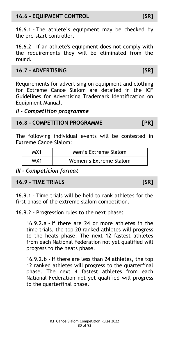# **16.6 - EQUIPMENT CONTROL [SR]**

16.6.1 - The athlete's equipment may be checked by the pre-start controller.

16.6.2 - If an athlete's equipment does not comply with the requirements they will be eliminated from the round.

# **16.7 - ADVERTISING [SR]**

Requirements for advertising on equipment and clothing for Extreme Canoe Slalom are detailed in the ICF Guidelines for Advertising Trademark Identification on Equipment Manual.

### *II - Competition programme*

## **16.8 - COMPETITION PROGRAMME [PR]**

The following individual events will be contested in Extreme Canoe Slalom:

| MX1 | Men's Extreme Slalom   |
|-----|------------------------|
| WX1 | Women's Extreme Slalom |

# *III - Competition format*

### **16.9 - TIME TRIALS [SR]**

16.9.1 - Time trials will be held to rank athletes for the first phase of the extreme slalom competition.

16.9.2 - Progression rules to the next phase:

16.9.2.a - If there are 24 or more athletes in the time trials, the top 20 ranked athletes will progress to the heats phase. The next 12 fastest athletes from each National Federation not yet qualified will progress to the heats phase.

16.9.2.b - If there are less than 24 athletes, the top 12 ranked athletes will progress to the quarterfinal phase. The next 4 fastest athletes from each National Federation not yet qualified will progress to the quarterfinal phase.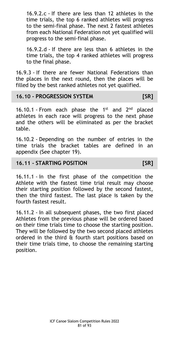16.9.2.c - If there are less than 12 athletes in the time trials, the top 6 ranked athletes will progress to the semi-final phase. The next 2 fastest athletes from each National Federation not yet qualified will progress to the semi-final phase.

16.9.2.d - If there are less than 6 athletes in the time trials, the top 4 ranked athletes will progress to the final phase.

16.9.3 - If there are fewer National Federations than the places in the next round, then the places will be filled by the best ranked athletes not yet qualified.

## **16.10 - PROGRESSION SYSTEM [SR]**

16.10.1 - From each phase the  $1^{st}$  and  $2^{nd}$  placed athletes in each race will progress to the next phase and the others will be eliminated as per the bracket table.

16.10.2 - Depending on the number of entries in the time trials the bracket tables are defined in an appendix (See chapter 19).

### **16.11 - STARTING POSITION [SR]**

16.11.1 - In the first phase of the competition the Athlete with the fastest time trial result may choose their starting position followed by the second fastest, then the third fastest. The last place is taken by the fourth fastest result.

16.11.2 - In all subsequent phases, the two first placed Athletes from the previous phase will be ordered based on their time trials time to choose the starting position. They will be followed by the two second placed athletes ordered in the third & fourth start positions based on their time trials time, to choose the remaining starting position.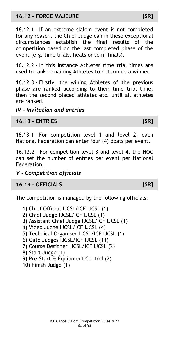# **16.12 - FORCE MAJEURE [SR]**

16.12.1 - If an extreme slalom event is not completed for any reason, the Chief Judge can in these exceptional circumstances establish the final results of the competition based on the last completed phase of the event (e.g. time trials, heats or semi-finals).

16.12.2 - In this instance Athletes time trial times are used to rank remaining Athletes to determine a winner.

16.12.3 - Firstly, the wining Athletes of the previous phase are ranked according to their time trial time, then the second placed athletes etc. until all athletes are ranked.

# *IV - Invitation and entries*

# **16.13 - ENTRIES [SR]**

16.13.1 - For competition level 1 and level 2, each National Federation can enter four (4) boats per event.

16.13.2 - For competition level 3 and level 4, the HOC can set the number of entries per event per National Federation.

# *V - Competition officials*

# **16.14 - OFFICIALS [SR]**

The competition is managed by the following officials:

- 1) Chief Official IJCSL/ICF IJCSL (1)
- 2) Chief Judge IJCSL/ICF IJCSL (1)
- 3) Assistant Chief Judge IJCSL/ICF IJCSL (1)
- 4) Video Judge IJCSL/ICF IJCSL (4)
- 5) Technical Organiser IJCSL/ICF IJCSL (1)
- 6) Gate Judges IJCSL/ICF IJCSL (11)
- 7) Course Designer IJCSL/ICF IJCSL (2)
- 8) Start Judge (1)
- 9) Pre-Start & Equipment Control (2)
- 10) Finish Judge (1)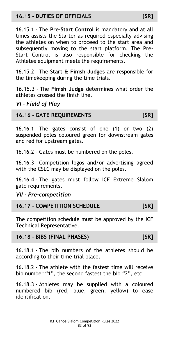# **16.15 - DUTIES OF OFFICIALS [SR]**

16.15.1 - The **Pre-Start Control** is mandatory and at all times assists the Starter as required especially advising the athletes on when to proceed to the start area and subsequently moving to the start platform. The Pre-Start Control is also responsible for checking the Athletes equipment meets the requirements.

16.15.2 - The **Start & Finish Judges** are responsible for the timekeeping during the time trials.

16.15.3 - The **Finish Judge** determines what order the athletes crossed the finish line.

# *VI - Field of Play*

## **16.16 - GATE REQUIREMENTS [SR]**

16.16.1 - The gates consist of one (1) or two (2) suspended poles coloured green for downstream gates and red for upstream gates.

16.16.2 - Gates must be numbered on the poles.

16.16.3 - Competition logos and/or advertising agreed with the CSLC may be displayed on the poles.

16.16.4 - The gates must follow ICF Extreme Slalom gate requirements.

# *VII - Pre-competition*

# **16.17 - COMPETITION SCHEDULE [SR]**

The competition schedule must be approved by the ICF Technical Representative.

### **16.18 - BIBS (FINAL PHASES) [SR]**

16.18.1 - The bib numbers of the athletes should be according to their time trial place.

16.18.2 - The athlete with the fastest time will receive bib number "1", the second fastest the bib "2", etc.

16.18.3 - Athletes may be supplied with a coloured numbered bib (red, blue, green, yellow) to ease identification.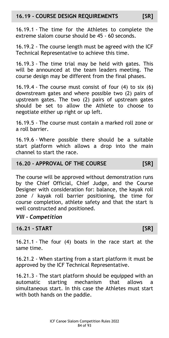16.19.1 - The time for the Athletes to complete the extreme slalom course should be 45 - 60 seconds.

16.19.2 - The course length must be agreed with the ICF Technical Representative to achieve this time.

16.19.3 - The time trial may be held with gates. This will be announced at the team leaders meeting. The course design may be different from the final phases.

16.19.4 - The course must consist of four (4) to six (6) downstream gates and where possible two (2) pairs of upstream gates. The two (2) pairs of upstream gates should be set to allow the Athlete to choose to negotiate either up right or up left.

16.19.5 - The course must contain a marked roll zone or a roll barrier.

16.19.6 - Where possible there should be a suitable start platform which allows a drop into the main channel to start the race.

# **16.20 - APPROVAL OF THE COURSE [SR]**

The course will be approved without demonstration runs by the Chief Official, Chief Judge, and the Course Designer with consideration for: balance, the kayak roll zone / kayak roll barrier positioning, the time for course completion, athlete safety and that the start is well constructed and positioned.

# *VIII - Competition*

### **16.21 - START [SR]**

16.21.1 - The four (4) boats in the race start at the same time.

16.21.2 - When starting from a start platform it must be approved by the ICF Technical Representative.

16.21.3 - The start platform should be equipped with an automatic starting mechanism that allows a simultaneous start. In this case the Athletes must start with both hands on the paddle.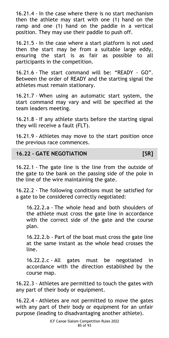16.21.4 - In the case where there is no start mechanism then the athlete may start with one (1) hand on the ramp and one (1) hand on the paddle in a vertical position. They may use their paddle to push off.

16.21.5 - In the case where a start platform is not used then the start may be from a suitable large eddy, ensuring the start is as fair as possible to all participants in the competition.

16.21.6 - The start command will be: "READY - GO". Between the order of READY and the starting signal the athletes must remain stationary.

16.21.7 - When using an automatic start system, the start command may vary and will be specified at the team leaders meeting.

16.21.8 - If any athlete starts before the starting signal they will receive a fault (FLT).

16.21.9 - Athletes may move to the start position once the previous race commences.

# **16.22 - GATE NEGOTIATION [SR]**

16.22.1 - The gate line is the line from the outside of the gate to the bank on the passing side of the pole in the line of the wire maintaining the gate.

16.22.2 - The following conditions must be satisfied for a gate to be considered correctly negotiated:

16.22.2.a - The whole head and both shoulders of the athlete must cross the gate line in accordance with the correct side of the gate and the course plan.

16.22.2.b - Part of the boat must cross the gate line at the same instant as the whole head crosses the line.

16.22.2.c - All gates must be negotiated in accordance with the direction established by the course map.

16.22.3 - Athletes are permitted to touch the gates with any part of their body or equipment.

16.22.4 - Athletes are not permitted to move the gates with any part of their body or equipment for an unfair purpose (leading to disadvantaging another athlete).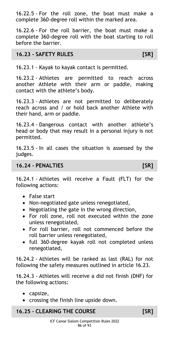16.22.5 - For the roll zone, the boat must make a complete 360-degree roll within the marked area.

16.22.6 - For the roll barrier, the boat must make a complete 360-degree roll with the boat starting to roll before the barrier.

# **16.23 - SAFETY RULES [SR]**

16.23.1 - Kayak to kayak contact is permitted.

16.23.2 - Athletes are permitted to reach across another Athlete with their arm or paddle, making contact with the athlete's body.

16.23.3 - Athletes are not permitted to deliberately reach across and / or hold back another Athlete with their hand, arm or paddle.

16.23.4 - Dangerous contact with another athlete's head or body that may result in a personal injury is not permitted.

16.23.5 - In all cases the situation is assessed by the judges.

# **16.24 - PENALTIES [SR]**

16.24.1 - Athletes will receive a Fault (FLT) for the following actions:

- False start
- Non-negotiated gate unless renegotiated,
- Negotiating the gate in the wrong direction,
- For roll zone, roll not executed within the zone unless renegotiated,
- For roll barrier, roll not commenced before the roll barrier unless renegotiated,
- full 360-degree kayak roll not completed unless renegotiated,

16.24.2 - Athletes will be ranked as last (RAL) for not following the safety measures outlined in article 16.23.

16.24.3 - Athletes will receive a did not finish (DNF) for the following actions:

- capsize,
- crossing the finish line upside down.

# **16.25 - CLEARING THE COURSE [SR]**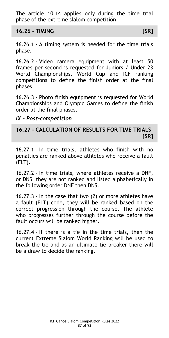The article 10.14 applies only during the time trial phase of the extreme slalom competition.

**16.26 - TIMING [SR]**

16.26.1 - A timing system is needed for the time trials phase.

16.26.2 - Video camera equipment with at least 50 frames per second is requested for Juniors / Under 23 World Championships, World Cup and ICF ranking competitions to define the finish order at the final phases.

16.26.3 - Photo finish equipment is requested for World Championships and Olympic Games to define the finish order at the final phases.

# *IX - Post-competition*

# **16.27 - CALCULATION OF RESULTS FOR TIME TRIALS [SR]**

16.27.1 - In time trials, athletes who finish with no penalties are ranked above athletes who receive a fault (FLT).

16.27.2 - In time trials, where athletes receive a DNF, or DNS, they are not ranked and listed alphabetically in the following order DNF then DNS.

16.27.3 - In the case that two (2) or more athletes have a fault (FLT) code, they will be ranked based on the correct progression through the course. The athlete who progresses further through the course before the fault occurs will be ranked higher.

16.27.4 - If there is a tie in the time trials, then the current Extreme Slalom World Ranking will be used to break the tie and as an ultimate tie breaker there will be a draw to decide the ranking.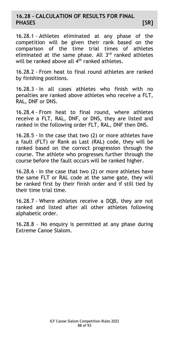## **16.28 - CALCULATION OF RESULTS FOR FINAL PHASES [SR]**

16.28.1 - Athletes eliminated at any phase of the competition will be given their rank based on the comparison of the time trial times of athletes eliminated at the same phase. All 3<sup>rd</sup> ranked athletes will be ranked above all  $4<sup>th</sup>$  ranked athletes.

16.28.2 - From heat to final round athletes are ranked by finishing positions.

16.28.3 - In all cases athletes who finish with no penalties are ranked above athletes who receive a FLT, RAL, DNF or DNS.

16.28.4 - From heat to final round, where athletes receive a FLT, RAL, DNF, or DNS, they are listed and ranked in the following order FLT, RAL, DNF then DNS.

16.28.5 - In the case that two (2) or more athletes have a fault (FLT) or Rank as Last (RAL) code, they will be ranked based on the correct progression through the course. The athlete who progresses further through the course before the fault occurs will be ranked higher.

16.28.6 - In the case that two (2) or more athletes have the same FLT or RAL code at the same gate, they will be ranked first by their finish order and if still tied by their time trial time.

16.28.7 - Where athletes receive a DQB, they are not ranked and listed after all other athletes following alphabetic order.

16.28.8 – No enquiry is permitted at any phase during Extreme Canoe Slalom.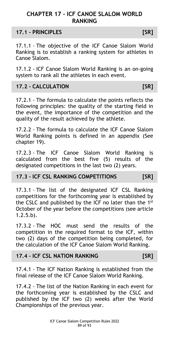# **CHAPTER 17 - ICF CANOE SLALOM WORLD RANKING**

## **17.1 - PRINCIPLES [SR]**

17.1.1 - The objective of the ICF Canoe Slalom World Ranking is to establish a ranking system for athletes in Canoe Slalom.

17.1.2 - ICF Canoe Slalom World Ranking is an on-going system to rank all the athletes in each event.

# **17.2 - CALCULATION [SR]**

17.2.1 - The formula to calculate the points reflects the following principles: the quality of the starting field in the event, the importance of the competition and the quality of the result achieved by the athlete.

17.2.2 - The formula to calculate the ICF Canoe Slalom World Ranking points is defined in an appendix (See chapter 19).

17.2.3 - The ICF Canoe Slalom World Ranking is calculated from the best five (5) results of the designated competitions in the last two (2) years.

# **17.3 - ICF CSL RANKING COMPETITIONS [SR]**

17.3.1 - The list of the designated ICF CSL Ranking competitions for the forthcoming year is established by the CSLC and published by the ICF no later than the 1st October of the year before the competitions (see article 1.2.5.b).

17.3.2 - The HOC must send the results of the competition in the required format to the ICF, within two (2) days of the competition being completed, for the calculation of the ICF Canoe Slalom World Ranking.

### **17.4 - ICF CSL NATION RANKING [SR]**

17.4.1 - The ICF Nation Ranking is established from the final release of the ICF Canoe Slalom World Ranking.

17.4.2 - The list of the Nation Ranking in each event for the forthcoming year is established by the CSLC and published by the ICF two (2) weeks after the World Championships of the previous year.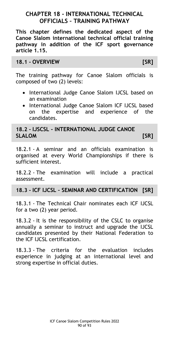# **CHAPTER 18 - INTERNATIONAL TECHNICAL OFFICIALS – TRAINING PATHWAY**

**This chapter defines the dedicated aspect of the Canoe Slalom international technical official training pathway in addition of the ICF sport governance article 1.15.**

## **18.1 - OVERVIEW [SR]**

The training pathway for Canoe Slalom officials is composed of two (2) levels:

- International Judge Canoe Slalom IJCSL based on an examination
- International Judge Canoe Slalom ICF IJCSL based on the expertise and experience of the candidates.

**18.2 - IJSCSL - INTERNATIONAL JUDGE CANOE SLALOM [SR]**

18.2.1 - A seminar and an officials examination is organised at every World Championships if there is sufficient interest.

18.2.2 - The examination will include a practical assessment.

### **18.3 - ICF IJCSL – SEMINAR AND CERTIFICATION [SR]**

18.3.1 - The Technical Chair nominates each ICF IJCSL for a two (2) year period.

18.3.2 - It is the responsibility of the CSLC to organise annually a seminar to instruct and upgrade the IJCSL candidates presented by their National Federation to the ICF IJCSL certification.

18.3.3 - The criteria for the evaluation includes experience in judging at an international level and strong expertise in official duties.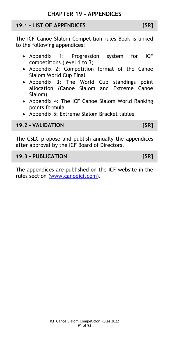## **19.1 - LIST OF APPENDICES [SR]**

The ICF Canoe Slalom Competition rules Book is linked to the following appendices:

- Appendix 1: Progression system for ICF competitions (level 1 to 3)
- Appendix 2: Competition format of the Canoe Slalom World Cup Final
- Appendix 3: The World Cup standings point allocation (Canoe Slalom and Extreme Canoe Slalom)
- Appendix 4: The ICF Canoe Slalom World Ranking points formula
- Appendix 5: Extreme Slalom Bracket tables

# **19.2 - VALIDATION [SR]**

The CSLC propose and publish annually the appendices after approval by the ICF Board of Directors.

## **19.3 - PUBLICATION [SR]**

The appendices are published on the ICF website in the rules section [\(www.canoeicf.com\)](http://www.canoeicf.com/).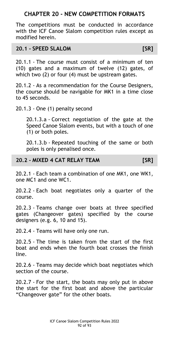# **CHAPTER 20 - NEW COMPETITION FORMATS**

The competitions must be conducted in accordance with the ICF Canoe Slalom competition rules except as modified herein.

## **20.1 - SPEED SLALOM [SR]**

20.1.1 - The course must consist of a minimum of ten (10) gates and a maximum of twelve (12) gates, of which two (2) or four (4) must be upstream gates.

20.1.2 - As a recommendation for the Course Designers, the course should be navigable for MK1 in a time close to 45 seconds.

#### 20.1.3 - One (1) penalty second

20.1.3.a - Correct negotiation of the gate at the Speed Canoe Slalom events, but with a touch of one (1) or both poles.

20.1.3.b - Repeated touching of the same or both poles is only penalised once.

### **20.2 - MIXED 4 CAT RELAY TEAM [SR]**

20.2.1 - Each team a combination of one MK1, one WK1, one MC1 and one WC1.

20.2.2 - Each boat negotiates only a quarter of the course.

20.2.3 - Teams change over boats at three specified gates (Changeover gates) specified by the course designers (e.g. 6, 10 and 15).

20.2.4 - Teams will have only one run.

20.2.5 - The time is taken from the start of the first boat and ends when the fourth boat crosses the finish line.

20.2.6 - Teams may decide which boat negotiates which section of the course.

20.2.7 - For the start, the boats may only put in above the start for the first boat and above the particular "Changeover gate" for the other boats.